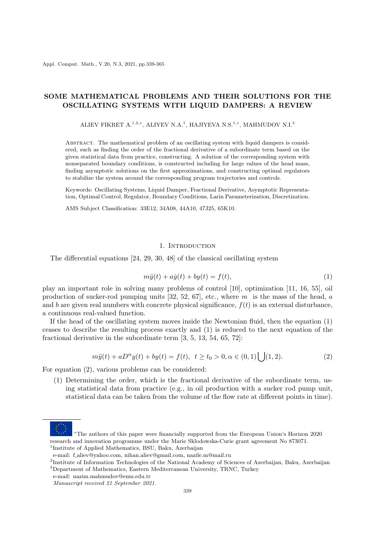# **SOME MATHEMATICAL PROBLEMS AND THEIR SOLUTIONS FOR THE OSCILLATING SYSTEMS WITH LIQUID DAMPERS: A REVIEW**

ALIEV FIKRET A.<sup>1</sup>*,*2*,<sup>∗</sup>* , ALIYEV N.A.<sup>1</sup> , HAJIYEVA N.S.<sup>1</sup>*,<sup>∗</sup>* , MAHMUDOV N.I.<sup>3</sup>

Abstract. The mathematical problem of an oscillating system with liquid dampers is considered, such as finding the order of the fractional derivative of a subordinate term based on the given statistical data from practice, constructing. A solution of the corresponding system with nonseparated boundary conditions, is constructed including for large values of the head mass, finding asymptotic solutions on the first approximations, and constructing optimal regulators to stabilize the system around the corresponding program trajectories and controls.

Keywords: Oscillating Systems, Liquid Damper, Fractional Derivative, Asymptotic Representation, Optimal Control, Regulator, Boundary Conditions, Larin Parameterization, Discretization.

AMS Subject Classification: 33E12, 34A08, 44A10, 47J25, 65K10.

### 1. INTRODUCTION

The differential equations [24, 29, 30, 48] of the classical oscillating system

$$
m\ddot{y}(t) + a\dot{y}(t) + by(t) = f(t),\tag{1}
$$

play an important role in solving many problems of control [10], optimization [11, 16, 55], oil production of sucker-rod pumping units [32, 52, 67], etc., where *m* is the mass of the head, *a* and *b* are given real numbers with concrete physical significance,  $f(t)$  is an external disturbance, a continuous real-valued function.

If the head of the oscillating system moves inside the Newtonian fluid, then the equation (1) ceases to describe the resulting process exactly and (1) is reduced to the next equation of the fractional derivative in the subordinate term [3, 5, 13, 54, 65, 72]:

$$
m\ddot{y}(t) + aD^{\alpha}y(t) + by(t) = f(t), \ \ t \ge t_0 > 0, \alpha \in (0,1) \bigcup (1,2). \tag{2}
$$

For equation (2), various problems can be considered:

(1) Determining the order, which is the fractional derivative of the subordinate term, using statistical data from practice (e.g., in oil production with a sucker rod pump unit, statistical data can be taken from the volume of the flow rate at different points in time).

<sup>1</sup>Institute of Applied Mathematics, BSU, Baku, Azerbaijan

*<sup>∗</sup>*The authors of this paper were financially supported from the European Union's Horizon 2020 research and innovation programme under the Marie Sklodowska-Curie grant agreement No 873071.

e-mail: f aliev@yahoo.com, nihan.aliev@gmail.com, nazile.m@mail.ru

<sup>&</sup>lt;sup>2</sup>Institute of Information Technologies of the National Academy of Sciences of Azerbaijan, Baku, Azerbaijan <sup>3</sup>Department of Mathematics, Eastern Mediterranean University, TRNC, Turkey

e-mail: nazim.mahmudov@emu.edu.tr

*Manuscript received 21 September 2021.*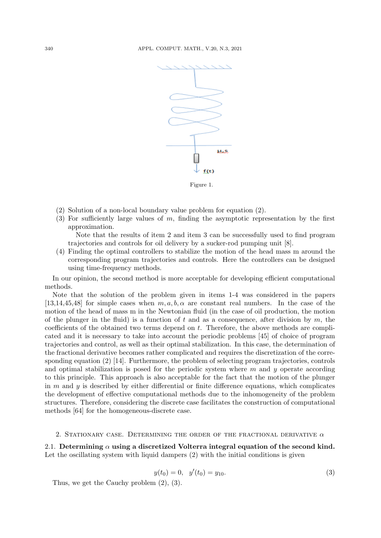

Figure 1.

- (2) Solution of a non-local boundary value problem for equation (2).
- (3) For sufficiently large values of *m*, finding the asymptotic representation by the first approximation.

Note that the results of item 2 and item 3 can be successfully used to find program trajectories and controls for oil delivery by a sucker-rod pumping unit [8].

(4) Finding the optimal controllers to stabilize the motion of the head mass m around the corresponding program trajectories and controls. Here the controllers can be designed using time-frequency methods.

In our opinion, the second method is more acceptable for developing efficient computational methods.

Note that the solution of the problem given in items 1-4 was considered in the papers [13,14,45,48] for simple cases when  $m, a, b, \alpha$  are constant real numbers. In the case of the motion of the head of mass m in the Newtonian fluid (in the case of oil production, the motion of the plunger in the fluid) is a function of *t* and as a consequence, after division by *m*, the coefficients of the obtained two terms depend on *t*. Therefore, the above methods are complicated and it is necessary to take into account the periodic problems [45] of choice of program trajectories and control, as well as their optimal stabilization. In this case, the determination of the fractional derivative becomes rather complicated and requires the discretization of the corresponding equation (2) [14]. Furthermore, the problem of selecting program trajectories, controls and optimal stabilization is posed for the periodic system where *m* and *y* operate according to this principle. This approach is also acceptable for the fact that the motion of the plunger in *m* and *y* is described by either differential or finite difference equations, which complicates the development of effective computational methods due to the inhomogeneity of the problem structures. Therefore, considering the discrete case facilitates the construction of computational methods [64] for the homogeneous-discrete case.

### 2. STATIONARY CASE. DETERMINING THE ORDER OF THE FRACTIONAL DERIVATIVE  $\alpha$

2.1. **Determining** *α* **using a discretized Volterra integral equation of the second kind.** Let the oscillating system with liquid dampers (2) with the initial conditions is given

$$
y(t_0) = 0, \quad y'(t_0) = y_{10}.\tag{3}
$$

Thus, we get the Cauchy problem (2), (3).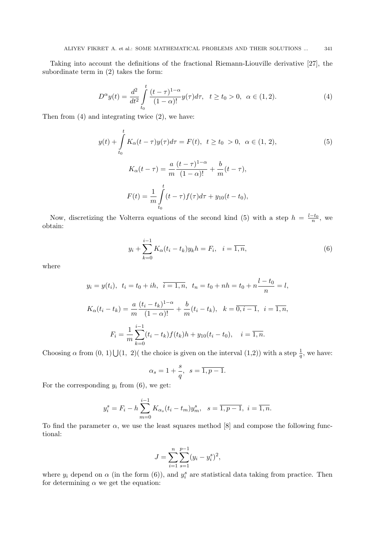Taking into account the definitions of the fractional Riemann-Liouville derivative [27], the subordinate term in (2) takes the form:

$$
D^{\alpha}y(t) = \frac{d^2}{dt^2} \int_{t_0}^t \frac{(t-\tau)^{1-\alpha}}{(1-\alpha)!} y(\tau) d\tau, \quad t \ge t_0 > 0, \quad \alpha \in (1,2).
$$
 (4)

Then from (4) and integrating twice (2), we have:

$$
y(t) + \int_{t_0}^t K_\alpha(t - \tau) y(\tau) d\tau = F(t), \ t \ge t_0 > 0, \ \alpha \in (1, 2),
$$
  
\n
$$
K_\alpha(t - \tau) = \frac{a}{m} \frac{(t - \tau)^{1 - \alpha}}{(1 - \alpha)!} + \frac{b}{m} (t - \tau),
$$
  
\n
$$
F(t) = \frac{1}{m} \int_{t_0}^t (t - \tau) f(\tau) d\tau + y_{10}(t - t_0),
$$
\n(5)

Now, discretizing the Volterra equations of the second kind (5) with a step  $h = \frac{l-t_0}{n}$ , we obtain:

$$
y_i + \sum_{k=0}^{i-1} K_{\alpha}(t_i - t_k) y_k h = F_i, \quad i = \overline{1, n},
$$
\n(6)

where

$$
y_i = y(t_i), \ t_i = t_0 + ih, \ \overline{i} = 1, \overline{n}, \ t_n = t_0 + nh = t_0 + n\frac{l - t_0}{n} = l,
$$
  

$$
K_{\alpha}(t_i - t_k) = \frac{a}{m} \frac{(t_i - t_k)^{1-\alpha}}{(1-\alpha)!} + \frac{b}{m}(t_i - t_k), \ k = \overline{0, i - 1}, \ i = \overline{1, n},
$$
  

$$
F_i = \frac{1}{m} \sum_{k=0}^{i-1} (t_i - t_k) f(t_k) h + y_{10}(t_i - t_0), \quad i = \overline{1, n}.
$$

Choosing  $\alpha$  from  $(0, 1) \bigcup (1, 2)$  (the choice is given on the interval  $(1,2)$ ) with a step  $\frac{1}{q}$ , we have:

$$
\alpha_s = 1 + \frac{s}{q}, \ \ s = \overline{1, p - 1}.
$$

For the corresponding  $y_i$  from (6), we get:

$$
y_i^s = F_i - h \sum_{m=0}^{i-1} K_{\alpha_s}(t_i - t_m) y_m^s, \quad s = \overline{1, p-1}, \quad i = \overline{1, n}.
$$

To find the parameter  $\alpha$ , we use the least squares method [8] and compose the following functional:

$$
J = \sum_{i=1}^{n} \sum_{s=1}^{p-1} (y_i - y_i^s)^2,
$$

where  $y_i$  depend on  $\alpha$  (in the form (6)), and  $y_i^s$  are statistical data taking from practice. Then for determining  $\alpha$  we get the equation: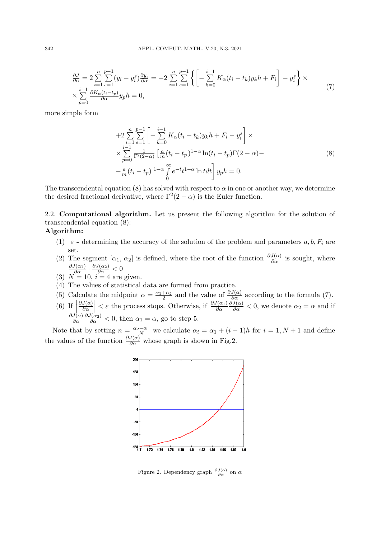$$
\frac{\partial J}{\partial \alpha} = 2 \sum_{i=1}^{n} \sum_{s=1}^{p-1} (y_i - y_i^s) \frac{\partial y_i}{\partial \alpha} = -2 \sum_{i=1}^{n} \sum_{s=1}^{p-1} \left\{ \left[ -\sum_{k=0}^{i-1} K_{\alpha}(t_i - t_k) y_k h + F_i \right] - y_i^s \right\} \times \times \sum_{p=0}^{i-1} \frac{\partial K_{\alpha}(t_i - t_p)}{\partial \alpha} y_p h = 0,
$$
\n(7)

more simple form

$$
+2\sum_{i=1}^{n}\sum_{s=1}^{p-1}\left[-\sum_{k=0}^{i-1}K_{\alpha}(t_{i}-t_{k})y_{k}h+F_{i}-y_{i}^{s}\right]\times
$$
  

$$
\times\sum_{p=0}^{i-1}\frac{1}{\Gamma^{2}(2-\alpha)}\left[\frac{a}{m}(t_{i}-t_{p})^{1-\alpha}\ln(t_{i}-t_{p})\Gamma(2-\alpha)-\right]
$$
  

$$
-\frac{a}{m}(t_{i}-t_{p})^{1-\alpha}\int_{0}^{\infty}e^{-t}t^{1-\alpha}\ln tdt\right]y_{p}h=0.
$$
 (8)

The transcendental equation (8) has solved with respect to  $\alpha$  in one or another way, we determine the desired fractional derivative, where  $\Gamma^2(2-\alpha)$  is the Euler function.

2.2. **Computational algorithm.** Let us present the following algorithm for the solution of transcendental equation (8):

# **Algorithm:**

- (1)  $\varepsilon$  **-** determining the accuracy of the solution of the problem and parameters  $a, b, F_i$  are set.
- (2) The segment  $[\alpha_1, \alpha_2]$  is defined, where the root of the function  $\frac{\partial J(\alpha)}{\partial \alpha}$  is sought, where  $\frac{\partial J(\alpha_1)}{\partial \alpha} \cdot \frac{\partial J(\alpha_2)}{\partial \alpha} < 0$
- (3)  $N = 10$ ,  $i = 4$  are given.
- (4) The values of statistical data are formed from practice.
- (5) Calculate the midpoint  $\alpha = \frac{\alpha_1 + \alpha_2}{2}$  and the value of  $\frac{\partial J(\alpha)}{\partial \alpha}$  according to the formula (7).
- $(6)$  If  $\Big|$ *∂J*(*α*)  $\left|\frac{J(\alpha)}{\partial \alpha}\right| < \varepsilon$  the process stops. Otherwise, if  $\frac{\partial J(\alpha_1)}{\partial \alpha}$  $\frac{\partial J(\alpha)}{\partial \alpha} < 0$ , we denote  $\alpha_2 = \alpha$  and if *∂J*(*α*) *∂α*  $\frac{\partial J(\alpha_2)}{\partial \alpha}$  < 0, then  $\alpha_1 = \alpha$ , go to step 5.

Note that by setting  $n = \frac{\alpha_2 - \alpha_1}{N}$  we calculate  $\alpha_i = \alpha_1 + (i - 1)h$  for  $i = \overline{1, N + 1}$  and define the values of the function  $\frac{\partial J(\alpha)}{\partial \alpha}$  whose graph is shown in Fig.2.



Figure 2. Dependency graph  $\frac{\partial J(\alpha)}{\partial \alpha}$  on  $\alpha$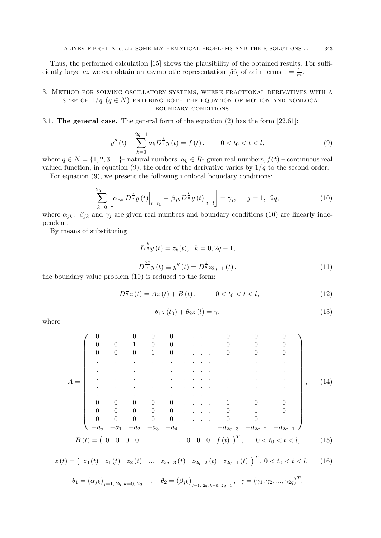Thus, the performed calculation [15] shows the plausibility of the obtained results. For sufficiently large *m*, we can obtain an asymptotic representation [56] of  $\alpha$  in terms  $\varepsilon = \frac{1}{n}$  $\frac{1}{m}$ .

# 3. Method for solving oscillatory systems, where fractional derivatives with a step of  $1/q$   $(q \in N)$  entering both the equation of motion and nonlocal boundary conditions

### 3.1. **The general case.** The general form of the equation (2) has the form [22,61]:

$$
y''(t) + \sum_{k=0}^{2q-1} a_k D^{\frac{k}{q}} y(t) = f(t), \qquad 0 < t < l,\tag{9}
$$

where  $q \in N = \{1, 2, 3, ...\}$  natural numbers,  $a_k \in R$ - given real numbers,  $f(t)$  – continuous real valued function, in equation (9), the order of the derivative varies by  $1/q$  to the second order.

For equation (9), we present the following nonlocal boundary conditions:

$$
\sum_{k=0}^{2q-1} \left[ \alpha_{jk} \ D^{\frac{k}{q}} y(t) \Big|_{t=t_0} + \beta_{jk} \ D^{\frac{k}{q}} y(t) \Big|_{t=l} \right] = \gamma_j, \qquad j = \overline{1, 2q}, \tag{10}
$$

where  $\alpha_{jk}$ ,  $\beta_{jk}$  and  $\gamma_j$  are given real numbers and boundary conditions (10) are linearly independent.

By means of substituting

$$
D^{\frac{k}{q}}y(t) = z_k(t), \quad k = \overline{0, 2q - 1},
$$
  

$$
D^{\frac{2q}{q}}y(t) \equiv y''(t) = D^{\frac{1}{q}}z_{2q-1}(t),
$$
 (11)

the boundary value problem (10) is reduced to the form:

$$
D^{\frac{1}{q}}z(t) = Az(t) + B(t), \qquad 0 < t_0 < t < l,
$$
\n(12)

$$
\theta_1 z(t_0) + \theta_2 z(l) = \gamma,\tag{13}
$$

where

$$
A = \begin{pmatrix}\n0 & 1 & 0 & 0 & 0 & \dots & 0 & 0 & 0 & 0 \\
0 & 0 & 1 & 0 & 0 & \dots & 0 & 0 & 0 \\
\vdots & \vdots & \vdots & \vdots & \vdots & \vdots & \vdots & \vdots & \vdots \\
0 & 0 & 0 & 0 & 0 & \dots & 1 & 0 & 0 \\
0 & 0 & 0 & 0 & 0 & \dots & 1 & 0 & 0 \\
0 & 0 & 0 & 0 & 0 & \dots & 0 & 1 & 0 \\
0 & 0 & 0 & 0 & \dots & 0 & 0 & 1 \\
0 & 0 & 0 & 0 & \dots & 0 & 0 & 1\n\end{pmatrix}, (14)
$$
\n
$$
B(t) = \begin{pmatrix}\n0 & 1 & 0 & 0 & \dots & 0 & 0 \\
0 & 0 & 0 & 0 & \dots & 0 & 0 & 0 \\
0 & 0 & 0 & 0 & \dots & 0 & 0 & 0 \\
0 & 0 & 0 & 0 & \dots & 0 & 0 & 0 \\
0 & 0 & 0 & 0 & \dots & 0 & 0 & 0 \\
0 & 0 & 0 & 0 & \dots & 0 & 0 & 0 \\
0 & 0 & 0 & 0 & \dots & 0 & 0 & 0 \\
0 & 0 & 0 & 0 & \dots & 0 & 0 & 0 \\
0 & 0 & 0 & 0 & \dots & 0 & 0 & 0 \\
0 & 0 & 0 & 0 & \dots & 0 & 0 & 0 \\
0 & 0 & 0 & 0 & \dots & 0 & 0 & 0 \\
0 & 0 & 0 & 0 & \dots & 0 & 0 & 0 \\
0 & 0 & 0 & 0 & \dots & 0 & 0 & 0 \\
0 & 0 & 0 & 0 & \dots & 0 & 0 & 0 \\
0 & 0 & 0 & 0 & 0 & \dots & 0 & 0 \\
0 & 0 & 0 & 0 & 0 & 0 & 0 & 0 \\
0 & 0 & 0 & 0 & 0 & 0 & 0 & 0 \\
0 & 0 & 0 & 0 & 0 & 0 & 0 & 0 \\
0 & 0 & 0 & 0 & 0 & 0 & 0 & 0 \\
0 & 0 & 0 & 0 & 0 & 0 & 0 & 0 \\
0 & 0 & 0 & 0 & 0 & 0 & 0 & 0 \\
0 & 0 & 0 & 0 & 0 & 0 & 0 & 0 \\
0 &
$$

$$
z(t) = \begin{pmatrix} z_0(t) & z_1(t) & z_2(t) & \dots & z_{2q-3}(t) & z_{2q-2}(t) & z_{2q-1}(t) \end{pmatrix}^T, \ 0 < t < t < l,\tag{16}
$$

$$
\theta_1 = (\alpha_{jk})_{j=\overline{1, 2q}, k=\overline{0, 2q-1}}, \quad \theta_2 = (\beta_{jk})_{j=\overline{1, 2q}, k=\overline{0, 2q-1}}, \quad \gamma = (\gamma_1, \gamma_2, ..., \gamma_{2q})^T.
$$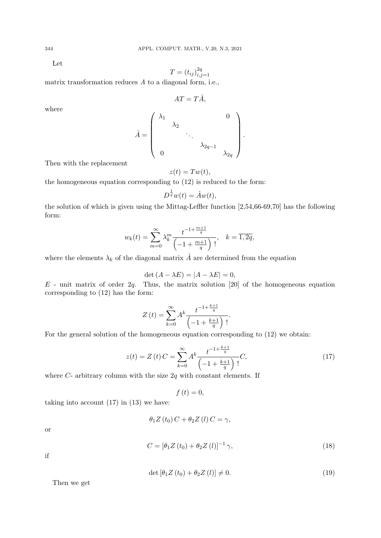Let

$$
T = (t_{ij})_{i,j=1}^{2q}
$$

matrix transformation reduces *A* to a diagonal form, i.e.,

$$
AT = T\hat{A},
$$

where

$$
\hat{A} = \begin{pmatrix} \lambda_1 & & & & 0 \\ & \lambda_2 & & & \\ & & \ddots & & \\ & & & \lambda_{2q-1} & \\ 0 & & & & \lambda_{2q} \end{pmatrix}.
$$

Then with the replacement

$$
z(t) = Tw(t),
$$

the homogeneous equation corresponding to (12) is reduced to the form:

$$
D^{\frac{1}{q}}w(t) = \hat{A}w(t),
$$

the solution of which is given using the Mittag-Leffler function [2,54,66-69,70] has the following form:

$$
w_k(t) = \sum_{m=0}^{\infty} \lambda_k^m \frac{t^{-1 + \frac{m+1}{q}}}{\left(-1 + \frac{m+1}{q}\right)!}, \quad k = \overline{1, 2q},
$$

where the elements  $\lambda_k$  of the diagonal matrix  $\hat{A}$  are determined from the equation

$$
\det(A - \lambda E) = |A - \lambda E| = 0,
$$

*E* - unit matrix of order 2*q*. Thus, the matrix solution [20] of the homogeneous equation corresponding to (12) has the form:

$$
Z(t) = \sum_{k=0}^{\infty} A^{k} \frac{t^{-1 + \frac{k+1}{q}}}{\left(-1 + \frac{k+1}{q}\right)!}.
$$

For the general solution of the homogeneous equation corresponding to (12) we obtain:

$$
z(t) = Z(t)C = \sum_{k=0}^{\infty} A^k \frac{t^{-1 + \frac{k+1}{q}}}{\left(-1 + \frac{k+1}{q}\right)!} C,
$$
\n(17)

where *C*- arbitrary column with the size 2*q* with constant elements. If

$$
f\left( t\right) =0,
$$

taking into account  $(17)$  in  $(13)$  we have:

$$
\theta_1 Z(t_0) C + \theta_2 Z(t) C = \gamma,
$$

or

$$
C = \left[\theta_1 Z\left(t_0\right) + \theta_2 Z\left(l\right)\right]^{-1} \gamma,\tag{18}
$$

if

$$
\det\left[\theta_1 Z\left(t_0\right) + \theta_2 Z\left(l\right)\right] \neq 0. \tag{19}
$$

Then we get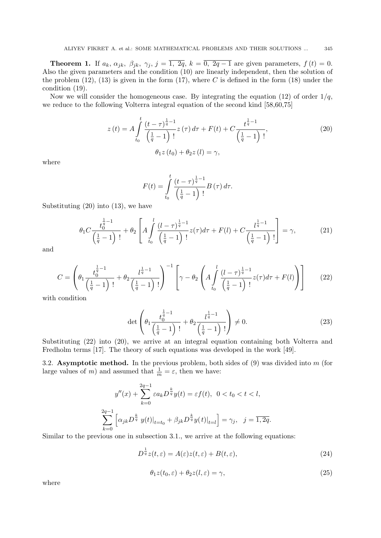**Theorem 1.** If  $a_k$ ,  $\alpha_{jk}$ ,  $\beta_{jk}$ ,  $\gamma_j$ ,  $j = \overline{1, 2q}$ ,  $k = \overline{0, 2q - 1}$  are given parameters,  $f(t) = 0$ . Also the given parameters and the condition (10) are linearly independent, then the solution of the problem  $(12)$ ,  $(13)$  is given in the form  $(17)$ , where *C* is defined in the form  $(18)$  under the condition (19).

Now we will consider the homogeneous case. By integrating the equation  $(12)$  of order  $1/q$ , we reduce to the following Volterra integral equation of the second kind [58,60,75]

$$
z(t) = A \int_{t_0}^{t} \frac{(t-\tau)^{\frac{1}{q}-1}}{\left(\frac{1}{q}-1\right)!} z(\tau) d\tau + F(t) + C \frac{t^{\frac{1}{q}-1}}{\left(\frac{1}{q}-1\right)!},
$$
  
\n
$$
\theta_1 z(t_0) + \theta_2 z(l) = \gamma,
$$
\n(20)

where

$$
F(t) = \int_{t_0}^{t} \frac{(t-\tau)^{\frac{1}{q}-1}}{\left(\frac{1}{q}-1\right)!} B(\tau) d\tau.
$$

Substituting (20) into (13), we have

$$
\theta_1 C \frac{t_0^{\frac{1}{q}-1}}{\left(\frac{1}{q}-1\right)!} + \theta_2 \left[ A \int_{t_0}^l \frac{(l-\tau)^{\frac{1}{q}-1}}{\left(\frac{1}{q}-1\right)!} z(\tau) d\tau + F(l) + C \frac{l^{\frac{1}{q}-1}}{\left(\frac{1}{q}-1\right)!} \right] = \gamma, \tag{21}
$$

and

$$
C = \left(\theta_1 \frac{t_0^{\frac{1}{q}-1}}{\left(\frac{1}{q}-1\right)!} + \theta_2 \frac{t_0^{\frac{1}{q}-1}}{\left(\frac{1}{q}-1\right)!}\right)^{-1} \left[\gamma - \theta_2 \left(A \int_{t_0}^{l} \frac{(l-\tau)^{\frac{1}{q}-1}}{\left(\frac{1}{q}-1\right)!} z(\tau) d\tau + F(l)\right)\right]
$$
(22)

with condition

$$
\det\left(\theta_1 \frac{t_0^{\frac{1}{q}-1}}{\left(\frac{1}{q}-1\right)!} + \theta_2 \frac{l^{\frac{1}{q}-1}}{\left(\frac{1}{q}-1\right)!}\right) \neq 0. \tag{23}
$$

Substituting (22) into (20), we arrive at an integral equation containing both Volterra and Fredholm terms [17]. The theory of such equations was developed in the work [49].

3.2. **Asymptotic method.** In the previous problem, both sides of (9) was divided into *m* (for large values of *m*) and assumed that  $\frac{1}{m} = \varepsilon$ , then we have:

$$
y''(x) + \sum_{k=0}^{2q-1} \varepsilon a_k D^{\frac{k}{q}} y(t) = \varepsilon f(t), \quad 0 < t_0 < t < l,
$$
\n
$$
\sum_{k=0}^{2q-1} \left[ \alpha_{jk} D^{\frac{k}{q}} y(t) \big|_{t=t_0} + \beta_{jk} D^{\frac{k}{q}} y(t) \big|_{t=l} \right] = \gamma_j, \quad j = \overline{1, 2q}.
$$

Similar to the previous one in subsection 3.1., we arrive at the following equations:

$$
D^{\frac{1}{q}}z(t,\varepsilon) = A(\varepsilon)z(t,\varepsilon) + B(t,\varepsilon),\tag{24}
$$

$$
\theta_1 z(t_0, \varepsilon) + \theta_2 z(l, \varepsilon) = \gamma,
$$
\n(25)

where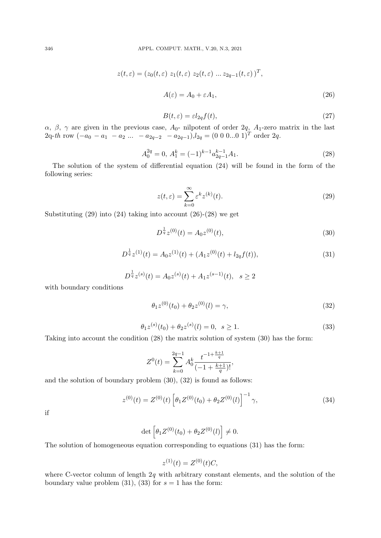$$
z(t,\varepsilon) = (z_0(t,\varepsilon) z_1(t,\varepsilon) z_2(t,\varepsilon) \dots z_{2q-1}(t,\varepsilon))^T,
$$
  

$$
A(\varepsilon) = A_0 + \varepsilon A_1,
$$
 (26)

$$
B(t,\varepsilon) = \varepsilon l_{2q} f(t),\tag{27}
$$

*α, β, γ* are given in the previous case, *A*0- nilpotent of order 2*q, A*1-zero matrix in the last  $2q$ <sup>*-th*</sup> row  $(-a_0 - a_1 - a_2 ... - a_{2q-2} - a_{2q-1})$ , $l_{2q} = (0 \ 0 \ 0 ... 0 \ 1)^T$  order 2*q*.

$$
A_0^{2q} = 0, A_1^k = (-1)^{k-1} a_{2q-1}^{k-1} A_1.
$$
\n(28)

The solution of the system of differential equation (24) will be found in the form of the following series:

$$
z(t,\varepsilon) = \sum_{k=0}^{\infty} \varepsilon^k z^{(k)}(t). \tag{29}
$$

Substituting  $(29)$  into  $(24)$  taking into account  $(26)-(28)$  we get

$$
D^{\frac{1}{q}}z^{(0)}(t) = A_0 z^{(0)}(t),
$$
\n(30)

$$
D^{\frac{1}{q}}z^{(1)}(t) = A_0 z^{(1)}(t) + (A_1 z^{(0)}(t) + l_{2q} f(t)),
$$
\n(31)

$$
D^{\frac{1}{q}}z^{(s)}(t) = A_0 z^{(s)}(t) + A_1 z^{(s-1)}(t), \quad s \ge 2
$$

with boundary conditions

$$
\theta_1 z^{(0)}(t_0) + \theta_2 z^{(0)}(l) = \gamma,\tag{32}
$$

$$
\theta_1 z^{(s)}(t_0) + \theta_2 z^{(s)}(l) = 0, \ \ s \ge 1. \tag{33}
$$

Taking into account the condition (28) the matrix solution of system (30) has the form:

$$
Z^{0}(t) = \sum_{k=0}^{2q-1} A_0^k \frac{t^{-1+\frac{k+1}{q}}}{(-1+\frac{k+1}{q})!},
$$

and the solution of boundary problem (30), (32) is found as follows:

$$
z^{(0)}(t) = Z^{(0)}(t) \left[ \theta_1 Z^{(0)}(t_0) + \theta_2 Z^{(0)}(l) \right]^{-1} \gamma,
$$
\n(34)

if

$$
\det \left[ \theta_1 Z^{(0)}(t_0) + \theta_2 Z^{(0)}(l) \right] \neq 0.
$$

The solution of homogeneous equation corresponding to equations (31) has the form:

$$
z^{(1)}(t) = Z^{(0)}(t)C,
$$

where C-vector column of length 2*q* with arbitrary constant elements, and the solution of the boundary value problem  $(31)$ ,  $(33)$  for  $s = 1$  has the form: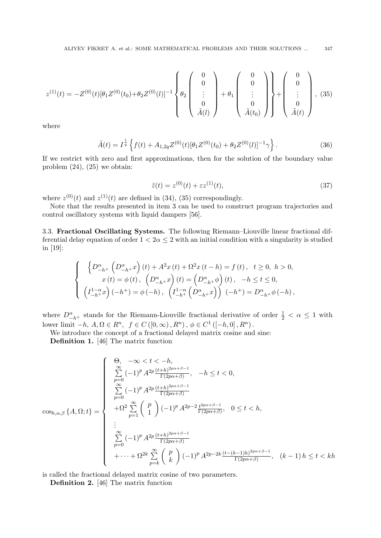$$
z^{(1)}(t) = -Z^{(0)}(t)[\theta_1 Z^{(0)}(t_0) + \theta_2 Z^{(0)}(l)]^{-1} \left\{ \theta_2 \begin{pmatrix} 0 \\ 0 \\ \vdots \\ 0 \\ \tilde{A}(l) \end{pmatrix} + \theta_1 \begin{pmatrix} 0 \\ 0 \\ \vdots \\ 0 \\ \tilde{A}(t_0) \end{pmatrix} \right\} + \left( \begin{pmatrix} 0 \\ 0 \\ \vdots \\ 0 \\ \tilde{A}(t) \end{pmatrix}, (35)
$$

where

$$
\tilde{A}(t) = I^{\frac{1}{q}} \left\{ f(t) + A_{1,2q} Z^{(0)}(t) [\theta_1 Z^{(0)}(t_0) + \theta_2 Z^{(0)}(t)]^{-1} \gamma \right\}.
$$
\n(36)

If we restrict with zero and first approximations, then for the solution of the boundary value problem  $(24)$ ,  $(25)$  we obtain:

$$
\tilde{z}(t) = z^{(0)}(t) + \varepsilon z^{(1)}(t),
$$
\n(37)

where  $z^{(0)}(t)$  and  $z^{(1)}(t)$  are defined in (34), (35) correspondingly.

Note that the results presented in item 3 can be used to construct program trajectories and control oscillatory systems with liquid dampers [56].

3.3. **Fractional Oscillating Systems.** The following Riemann–Liouville linear fractional differential delay equation of order  $1 < 2\alpha \leq 2$  with an initial condition with a singularity is studied in [19]:

$$
\label{eq:2.1} \left\{ \begin{array}{l} \left\{D_{-h^+}^\alpha\left(D_{-h^+}^\alpha x\right)(t)+A^2x\left(t\right)+\Omega^2x\left(t-h\right)=f\left(t\right),\hspace{0.2cm} t\geq 0,\hspace{0.2cm} h>0,\\ x\left(t\right)=\phi\left(t\right),\hspace{0.2cm} \left(D_{-h^+}^\alpha x\right)(t)=\left(D_{-h^+}^\alpha\phi\right)(t)\hspace{0.2cm},\hspace{0.2cm}-h\leq t\leq 0,\\ \left(I_{-h^+}^{1-\alpha} x\right)(-h^+)=\phi\left(-h\right),\hspace{0.2cm} \left(I_{-h^+}^{1-\alpha}\left(D_{-h^+}^\alpha x\right)\right)(-h^+)=D_{-h^+}^\alpha\phi\left(-h\right), \end{array} \right.
$$

where  $D^{\alpha}_{-h^+}$  stands for the Riemann-Liouville fractional derivative of order  $\frac{1}{2} < \alpha \leq 1$  with lower limit  $−h$ ,  $A, \Omega \in R^n$ ,  $f \in C([0, \infty), R^n)$ ,  $\phi \in C^1([-h, 0], R^n)$ .

We introduce the concept of a fractional delayed matrix cosine and sine:

**Definition 1.** [46] The matrix function

$$
\cos_{h,\alpha,\beta}\{A,\Omega;t\} = \begin{cases}\n\frac{\Theta, & -\infty < t < -h, \\
\sum_{p=0}^{\infty} (-1)^p A^{2p} \frac{(t+h)^{2p\alpha+\beta-1}}{\Gamma(2p\alpha+\beta)}, & -h \le t < 0, \\
\sum_{p=0}^{\infty} (-1)^p A^{2p} \frac{(t+h)^{2p\alpha+\beta-1}}{\Gamma(2p\alpha+\beta)} \\
+ \Omega^2 \sum_{p=1}^{\infty} {p \choose 1} (-1)^p A^{2p-2} \frac{t^{2p\alpha+\beta-1}}{\Gamma(2p\alpha+\beta)}, & 0 \le t < h, \\
\vdots \\
\sum_{p=0}^{\infty} (-1)^p A^{2p} \frac{(t+h)^{2p\alpha+\beta-1}}{\Gamma(2p\alpha+\beta)} \\
+ \cdots + \Omega^{2k} \sum_{p=k}^{\infty} {p \choose k} (-1)^p A^{2p-2k} \frac{(t-(k-1)h)^{2p\alpha+\beta-1}}{\Gamma(2p\alpha+\beta)}, & (k-1) h \le t < kh\n\end{cases}
$$

is called the fractional delayed matrix cosine of two parameters.

**Definition 2.** [46] The matrix function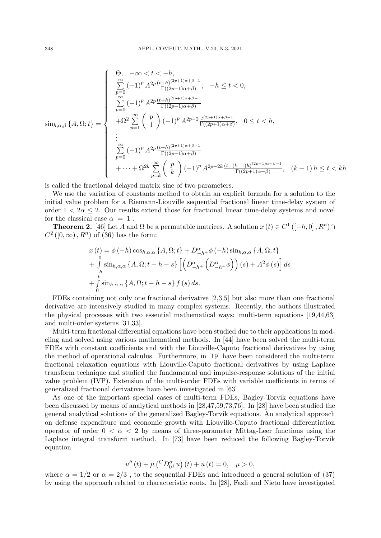$$
\sin_{h,\alpha,\beta}\{A,\Omega;t\} = \begin{cases}\n\frac{\Theta, & -\infty < t < -h, \\
\sum_{p=0}^{\infty} (-1)^p A^{2p} \frac{(t+h)^{(2p+1)\alpha+\beta-1}}{\Gamma((2p+1)\alpha+\beta)}, & -h \le t < 0, \\
\sum_{p=0}^{\infty} (-1)^p A^{2p} \frac{(t+h)^{(2p+1)\alpha+\beta-1}}{\Gamma((2p+1)\alpha+\beta)} \\
+ \Omega^2 \sum_{p=1}^{\infty} {p \choose 1} (-1)^p A^{2p-2} \frac{t^{(2p+1)\alpha+\beta-1}}{\Gamma((2p+1)\alpha+\beta)}, & 0 \le t < h, \\
\vdots \\
\sum_{p=0}^{\infty} (-1)^p A^{2p} \frac{(t+h)^{(2p+1)\alpha+\beta-1}}{\Gamma((2p+1)\alpha+\beta)} \\
+ \cdots + \Omega^{2k} \sum_{p=k}^{\infty} {p \choose k} (-1)^p A^{2p-2k} \frac{(t-(k-1)h)^{(2p+1)\alpha+\beta-1}}{\Gamma((2p+1)\alpha+\beta)}, & (k-1)h \le t < kh\n\end{cases}
$$

is called the fractional delayed matrix sine of two parameters.

We use the variation of constants method to obtain an explicit formula for a solution to the initial value problem for a Riemann-Liouville sequential fractional linear time-delay system of order  $1 < 2\alpha < 2$ . Our results extend those for fractional linear time-delay systems and novel for the classical case  $\alpha = 1$ .

**Theorem 2.** [46] Let *A* and  $\Omega$  be a permutable matrices. A solution  $x(t) \in C^1([-h, 0], R^n) \cap C^1$  $C^2([0,\infty), R^n)$  of (36) has the form:

$$
x(t) = \phi(-h) \cos_{h,\alpha,\alpha} \{A, \Omega; t\} + D_{-h^{+}}^{\alpha} \phi(-h) \sin_{h,\alpha,\alpha} \{A, \Omega; t\} + \int_{-h}^{0} \sin_{h,\alpha,\alpha} \{A, \Omega; t - h - s\} \left[ \left( D_{-h^{+}}^{\alpha} \left( D_{-h^{+}}^{\alpha} \phi \right) \right) (s) + A^{2} \phi (s) \right] ds + \int_{0}^{t} \sin_{h,\alpha,\alpha} \{A, \Omega; t - h - s\} f(s) ds.
$$

FDEs containing not only one fractional derivative [2,3,5] but also more than one fractional derivative are intensively studied in many complex systems. Recently, the authors illustrated the physical processes with two essential mathematical ways: multi-term equations [19,44,63] and multi-order systems [31,33].

Multi-term fractional differential equations have been studied due to their applications in modeling and solved using various mathematical methods. In [44] have been solved the multi-term FDEs with constant coefficients and with the Liouville-Caputo fractional derivatives by using the method of operational calculus. Furthermore, in [19] have been considered the multi-term fractional relaxation equations with Liouville-Caputo fractional derivatives by using Laplace transform technique and studied the fundamental and impulse-response solutions of the initial value problem (IVP). Extension of the multi-order FDEs with variable coefficients in terms of generalized fractional derivatives have been investigated in [63].

As one of the important special cases of multi-term FDEs, Bagley-Torvik equations have been discussed by means of analytical methods in [28,47,59,73,76]. In [28] have been studied the general analytical solutions of the generalized Bagley-Torvik equations. An analytical approach on defense expenditure and economic growth with Liouville-Caputo fractional differentiation operator of order  $0 < \alpha < 2$  by means of three-parameter Mittag-Leer functions using the Laplace integral transform method. In [73] have been reduced the following Bagley-Torvik equation

$$
u''(t) + \mu \left( {}^{C}D_{0^{+}}^{\alpha}u \right)(t) + u(t) = 0, \quad \mu > 0,
$$

where  $\alpha = 1/2$  or  $\alpha = 2/3$ , to the sequential FDEs and introduced a general solution of (37) by using the approach related to characteristic roots. In [28], Fazli and Nieto have investigated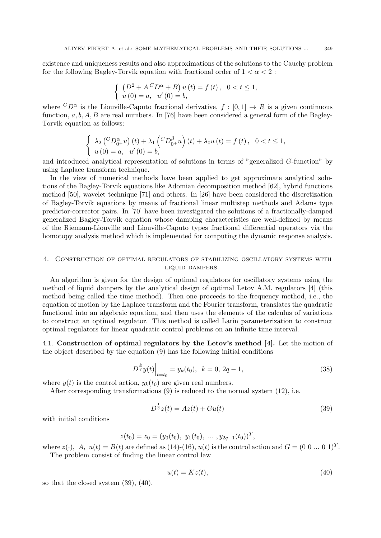existence and uniqueness results and also approximations of the solutions to the Cauchy problem for the following Bagley-Torvik equation with fractional order of  $1 < \alpha < 2$ :

$$
\begin{cases} (D^2 + A^C D^{\alpha} + B) u(t) = f(t), & 0 < t \le 1, \\ u(0) = a, & u'(0) = b, \end{cases}
$$

where  ${}^C D^{\alpha}$  is the Liouville-Caputo fractional derivative,  $f : [0,1] \rightarrow R$  is a given continuous function, *a, b, A, B* are real numbers. In [76] have been considered a general form of the Bagley-Torvik equation as follows:

$$
\begin{cases} \lambda_2 \left( {}^{C}D_{0^+}^{\alpha} u \right)(t) + \lambda_1 \left( {}^{C}D_{0^+}^{\beta} u \right)(t) + \lambda_0 u(t) = f(t), & 0 < t \le 1, \\ u(0) = a, & u'(0) = b, \end{cases}
$$

and introduced analytical representation of solutions in terms of "generalized *G*-function" by using Laplace transform technique.

In the view of numerical methods have been applied to get approximate analytical solutions of the Bagley-Torvik equations like Adomian decomposition method [62], hybrid functions method [50], wavelet technique [71] and others. In [26] have been considered the discretization of Bagley-Torvik equations by means of fractional linear multistep methods and Adams type predictor-corrector pairs. In [70] have been investigated the solutions of a fractionally-damped generalized Bagley-Torvik equation whose damping characteristics are well-defined by means of the Riemann-Liouville and Liouville-Caputo types fractional differential operators via the homotopy analysis method which is implemented for computing the dynamic response analysis.

# 4. Construction of optimal regulators of stabilizing oscillatory systems with liquid dampers.

An algorithm is given for the design of optimal regulators for oscillatory systems using the method of liquid dampers by the analytical design of optimal Letov A.M. regulators [4] (this method being called the time method). Then one proceeds to the frequency method, i.e., the equation of motion by the Laplace transform and the Fourier transform, translates the quadratic functional into an algebraic equation, and then uses the elements of the calculus of variations to construct an optimal regulator. This method is called Larin parameterization to construct optimal regulators for linear quadratic control problems on an infinite time interval.

4.1. **Construction of optimal regulators by the Letov's method [4].** Let the motion of the object described by the equation (9) has the following initial conditions

$$
D^{\frac{k}{q}}y(t)\Big|_{t=t_0} = y_k(t_0), \ \ k = \overline{0, 2q-1}, \tag{38}
$$

where  $y(t)$  is the control action,  $y_k(t_0)$  are given real numbers.

After corresponding transformations (9) is reduced to the normal system (12), i.e.

$$
D^{\frac{1}{q}}z(t) = Az(t) + Gu(t)
$$
\n(39)

with initial conditions

$$
z(t_0) = z_0 = (y_0(t_0), y_1(t_0), \dots, y_{2q-1}(t_0))^T,
$$

where  $z(\cdot)$ , A,  $u(t) = B(t)$  are defined as (14)-(16),  $u(t)$  is the control action and  $G = (0 \ 0 \ ... \ 0 \ 1)^T$ . The problem consist of finding the linear control law

$$
u(t) = Kz(t),\tag{40}
$$

so that the closed system (39), (40).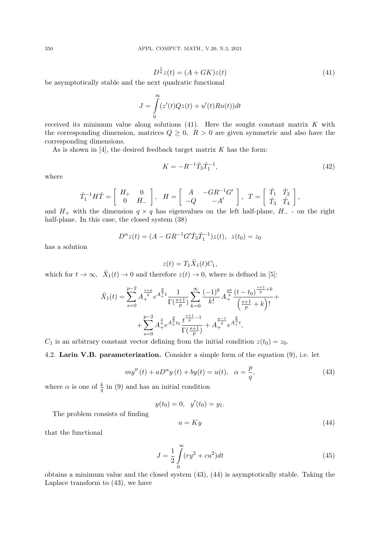$$
D^{\frac{1}{q}}z(t) = (A + GK)z(t)
$$
\n(41)

be asymptotically stable and the next quadratic functional

$$
J = \int_{0}^{\infty} (z'(t)Qz(t) + u'(t)Ru(t))dt
$$

received its minimum value along solutions (41). Here the sought constant matrix *K* with the corresponding dimension, matrices  $Q \geq 0$ ,  $R > 0$  are given symmetric and also have the corresponding dimensions.

As is shown in [4], the desired feedback target matrix *K* has the form:

$$
K = -R^{-1}\hat{T}_3\hat{T}_1^{-1},\tag{42}
$$

where

$$
\hat{T}_1^{-1}H\hat{T} = \begin{bmatrix} H_+ & 0 \\ 0 & H_- \end{bmatrix}, \quad H = \begin{bmatrix} A & -GR^{-1}G' \\ -Q & -A' \end{bmatrix}, \quad T = \begin{bmatrix} \hat{T}_1 & \hat{T}_2 \\ \hat{T}_3 & \hat{T}_4 \end{bmatrix},
$$

and  $H_+$  with the dimension  $q \times q$  has eigenvalues on the left half-plane,  $H_-\,$  - on the right half-plane. In this case, the closed system (38)

$$
D^{\alpha}z(t) = (A - GR^{-1}G'\hat{T}_3\hat{T}_1^{-1})z(t), z(t_0) = z_0
$$

has a solution

$$
z(t) = T_1 \tilde{X}_1(t) C_1,
$$

which for  $t \to \infty$ ,  $\tilde{X}_1(t) \to 0$  and therefore  $z(t) \to 0$ , where is defined in [5]:

$$
\hat{X}_1(t) = \sum_{s=0}^{p-2} A_+^{\frac{s+p}{q}} e^{A_+^{\frac{p}{q}}t} \frac{1}{\Gamma(\frac{s+1}{p})} \sum_{k=0}^{\infty} \frac{(-1)^k}{k!} A_+^{\frac{pk}{q}} \frac{(t-t_0)^{\frac{s+1}{p}+k}}{\left(\frac{s+1}{p}+k\right)!} + \\ + \sum_{s=0}^{p-2} A_+^{\frac{s}{q}} e^{A_+^{\frac{p}{q}}t_0} \frac{t^{\frac{s+1}{p}-1}}{\Gamma(\frac{s+1}{p})} + A_+^{\frac{p-1}{q}} e^{A_+^{\frac{p}{q}}t},
$$

*C*<sub>1</sub> is an arbitrary constant vector defining from the initial condition  $z(t_0) = z_0$ .

4.2. **Larin V.B. parameterization.** Consider a simple form of the equation (9), i.e. let

$$
my''(t) + aD^{\alpha}y(t) + by(t) = u(t), \ \ \alpha = \frac{p}{q}, \tag{43}
$$

where  $\alpha$  is one of  $\frac{k}{q}$  in (9) and has an initial condition

$$
y(t_0) = 0, \quad y'(t_0) = y_1.
$$

The problem consists of finding

$$
u = Ky \tag{44}
$$

that the functional

$$
J = \frac{1}{2} \int_{0}^{\infty} (ry^2 + cu^2) dt
$$
 (45)

obtains a minimum value and the closed system (43), (44) is asymptotically stable. Taking the Laplace transform to (43), we have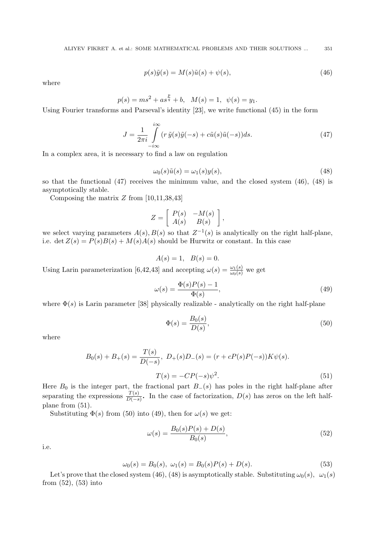$$
p(s)\tilde{y}(s) = M(s)\tilde{u}(s) + \psi(s),\tag{46}
$$

where

$$
p(s) = ms^{2} + as^{\frac{p}{q}} + b, \quad M(s) = 1, \quad \psi(s) = y_{1}.
$$

Using Fourier transforms and Parseval's identity [23], we write functional (45) in the form

$$
J = \frac{1}{2\pi i} \int_{-i\infty}^{i\infty} (r \tilde{y}(s)\tilde{y}(-s) + c\tilde{u}(s)\tilde{u}(-s))ds.
$$
 (47)

In a complex area, it is necessary to find a law on regulation

$$
\omega_0(s)\tilde{u}(s) = \omega_1(s)y(s),\tag{48}
$$

so that the functional (47) receives the minimum value, and the closed system (46), (48) is asymptotically stable.

Composing the matrix *Z* from [10,11,38,43]

$$
Z = \left[ \begin{array}{cc} P(s) & -M(s) \\ A(s) & B(s) \end{array} \right],
$$

we select varying parameters  $A(s)$ ,  $B(s)$  so that  $Z^{-1}(s)$  is analytically on the right half-plane, i.e. det  $Z(s) = P(s)B(s) + M(s)A(s)$  should be Hurwitz or constant. In this case

$$
A(s) = 1, B(s) = 0.
$$

Using Larin parameterization [6,42,43] and accepting  $\omega(s) = \frac{\omega_1(s)}{\omega_0(s)}$  we get

$$
\omega(s) = \frac{\Phi(s)P(s) - 1}{\Phi(s)},\tag{49}
$$

where  $\Phi(s)$  is Larin parameter [38] physically realizable - analytically on the right half-plane

$$
\Phi(s) = \frac{B_0(s)}{D(s)},\tag{50}
$$

where

$$
B_0(s) + B_+(s) = \frac{T(s)}{D(-s)}, \ D_+(s)D_-(s) = (r + cP(s)P(-s))K\psi(s).
$$
  

$$
T(s) = -CP(-s)\psi^2.
$$
 (51)

Here  $B_0$  is the integer part, the fractional part  $B_-(s)$  has poles in the right half-plane after separating the expressions  $\frac{T(s)}{D(-s)}$ . In the case of factorization,  $D(s)$  has zeros on the left halfplane from (51).

Substituting  $\Phi(s)$  from (50) into (49), then for  $\omega(s)$  we get:

$$
\omega(s) = \frac{B_0(s)P(s) + D(s)}{B_0(s)},
$$
\n(52)

i.e.

$$
\omega_0(s) = B_0(s), \ \omega_1(s) = B_0(s)P(s) + D(s). \tag{53}
$$

Let's prove that the closed system (46), (48) is asymptotically stable. Substituting  $\omega_0(s)$ ,  $\omega_1(s)$ from (52), (53) into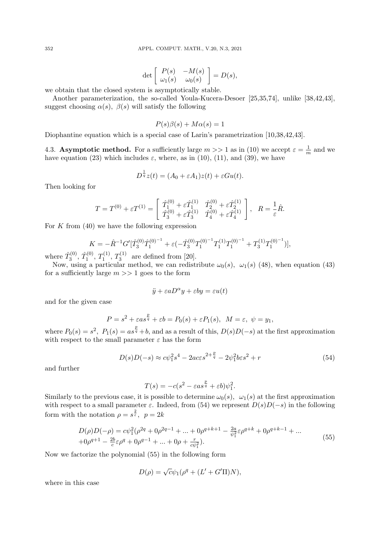$$
\det \left[ \begin{array}{cc} P(s) & -M(s) \\ \omega_1(s) & \omega_0(s) \end{array} \right] = D(s),
$$

we obtain that the closed system is asymptotically stable.

Another parameterization, the so-called Youla-Kucera-Desoer [25,35,74], unlike [38,42,43], suggest choosing  $\alpha(s)$ ,  $\beta(s)$  will satisfy the following

$$
P(s)\beta(s) + M\alpha(s) = 1
$$

Diophantine equation which is a special case of Larin's parametrization [10,38,42,43].

4.3. **Asymptotic method.** For a sufficiently large  $m >> 1$  as in (10) we accept  $\varepsilon = \frac{1}{m}$  $\frac{1}{m}$  and we have equation (23) which includes  $\varepsilon$ , where, as in (10), (11), and (39), we have

$$
D^{\frac{1}{q}}z(t) = (A_0 + \varepsilon A_1)z(t) + \varepsilon Gu(t).
$$

Then looking for

$$
T = T^{(0)} + \varepsilon T^{(1)} = \begin{bmatrix} \hat{T}_1^{(0)} + \varepsilon \hat{T}_1^{(1)} & \hat{T}_2^{(0)} + \varepsilon \hat{T}_2^{(1)} \\ \hat{T}_3^{(0)} + \varepsilon \hat{T}_3^{(1)} & \hat{T}_4^{(0)} + \varepsilon \hat{T}_4^{(1)} \end{bmatrix}, \quad R = \frac{1}{\varepsilon} \hat{R}.
$$

For *K* from (40) we have the following expression

$$
K = -\hat{R}^{-1}G'[\hat{T}_3^{(0)}\hat{T}_1^{(0)}{}^{-1} + \varepsilon(-\hat{T}_3^{(0)}T_1^{(0)}{}^{-1}T_1^{(1)}T_1^{(0)}{}^{-1} + T_3^{(1)}T_1^{(0)}{}^{-1})],
$$

where  $\hat{T}_3^{(0)}$  $\hat{T}^{(0)}_{3},\,\hat{T}^{(0)}_{1}$  $T_1^{(0)}, T_1^{(1)}, T_3^{(1)}$  are defined from [20].

Now, using a particular method, we can redistribute  $\omega_0(s)$ ,  $\omega_1(s)$  (48), when equation (43) for a sufficiently large  $m \gg 1$  goes to the form

$$
\ddot{y} + \varepsilon a D^{\alpha} y + \varepsilon b y = \varepsilon u(t)
$$

and for the given case

$$
P = s^2 + \varepsilon a s^{\frac{p}{q}} + \varepsilon b = P_0(s) + \varepsilon P_1(s), \ \ M = \varepsilon, \ \psi = y_1,
$$

where  $P_0(s) = s^2$ ,  $P_1(s) = as^{\frac{p}{q}} + b$ , and as a result of this,  $D(s)D(-s)$  at the first approximation with respect to the small parameter  $\varepsilon$  has the form

$$
D(s)D(-s) \approx c\psi_1^2 s^4 - 2ac\varepsilon s^{2+\frac{p}{q}} - 2\psi_1^2 b\varepsilon s^2 + r
$$
\n(54)

and further

$$
T(s) = -c(s^2 - \varepsilon as^{\frac{p}{q}} + \varepsilon b)\psi_1^2.
$$

Similarly to the previous case, it is possible to determine  $\omega_0(s)$ ,  $\omega_1(s)$  at the first approximation with respect to a small parameter  $\varepsilon$ . Indeed, from (54) we represent  $D(s)D(-s)$  in the following form with the notation  $\rho = s^{\frac{2}{\varepsilon}}, \quad p = 2k$ 

$$
D(\rho)D(-\rho) = c\psi_1^2(\rho^{2q} + 0\rho^{2q-1} + \dots + 0\rho^{q+k+1} - \frac{2a}{\psi_1^2}\varepsilon\rho^{q+k} + 0\rho^{q+k-1} + \dots + 0\rho^{q+1} - \frac{2b}{c}\varepsilon\rho^q + 0\rho^{q-1} + \dots + 0\rho + \frac{r}{c\psi_1^2}.
$$
\n(55)

Now we factorize the polynomial (55) in the following form

$$
D(\rho) = \sqrt{c}\psi_1(\rho^q + (L' + G'\Pi)N),
$$

where in this case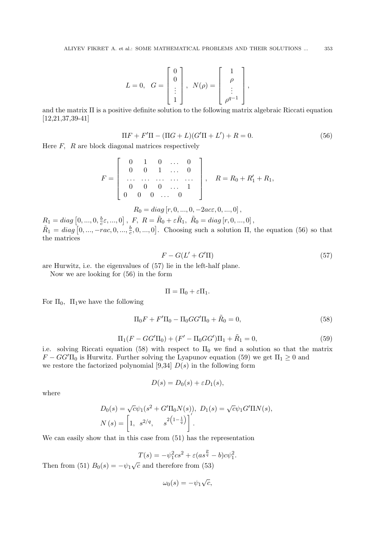$$
L = 0, \quad G = \begin{bmatrix} 0 \\ 0 \\ \vdots \\ 1 \end{bmatrix}, \quad N(\rho) = \begin{bmatrix} 1 \\ \rho \\ \vdots \\ \rho^{q-1} \end{bmatrix},
$$

and the matrix  $\Pi$  is a positive definite solution to the following matrix algebraic Riccati equation [12,21,37,39-41]

$$
\Pi F + F'\Pi - (\Pi G + L)(G'\Pi + L') + R = 0.
$$
\n(56)

Here *F, R* are block diagonal matrices respectively

$$
F = \left[\begin{array}{cccc} 0 & 1 & 0 & \dots & 0 \\ 0 & 0 & 1 & \dots & 0 \\ \dots & \dots & \dots & \dots & \dots \\ 0 & 0 & 0 & \dots & 1 \\ 0 & 0 & 0 & \dots & 0 \end{array}\right], \quad R = R_0 + R'_1 + R_1,
$$

$$
R_0 = diag[r, 0, ..., 0, -2ac\varepsilon, 0, ..., 0],
$$

 $R_1 = diag\left[0, ..., 0, \frac{b}{c}\right]$  $\frac{b}{c}\varepsilon$ , ..., 0], *F*,  $R = \tilde{R}_0 + \varepsilon \tilde{R}_1$ ,  $\tilde{R}_0 = diag [r, 0, ..., 0]$ ,  $\tilde{R}_1 = diag\left[0, ..., -rac, 0, ..., \frac{b}{c}\right]$  $(\frac{b}{c}, 0, \ldots, 0]$ . Choosing such a solution  $\Pi$ , the equation (56) so that the matrices

$$
F - G(L' + G'\Pi) \tag{57}
$$

are Hurwitz, i.e. the eigenvalues of (57) lie in the left-half plane.

Now we are looking for (56) in the form

$$
\Pi=\Pi_0+\varepsilon\Pi_1.
$$

For  $\Pi_0$ ,  $\Pi_1$  we have the following

$$
\Pi_0 F + F' \Pi_0 - \Pi_0 G G' \Pi_0 + \tilde{R}_0 = 0,
$$
\n(58)

$$
\Pi_1(F - GG'\Pi_0) + (F' - \Pi_0 GG')\Pi_1 + \tilde{R}_1 = 0,
$$
\n(59)

i.e. solving Riccati equation (58) with respect to  $\Pi_0$  we find a solution so that the matrix  $F - GG' \Pi_0$  is Hurwitz. Further solving the Lyapunov equation (59) we get  $\Pi_1 \geq 0$  and we restore the factorized polynomial  $[9,34]$   $D(s)$  in the following form

$$
D(s) = D_0(s) + \varepsilon D_1(s),
$$

where

$$
D_0(s) = \sqrt{c}\psi_1(s^2 + G'\Pi_0 N(s)), \ D_1(s) = \sqrt{c}\psi_1 G'\Pi N(s),
$$
  

$$
N(s) = \left[1, s^{2/q}, s^{2\left(1-\frac{1}{q}\right)}\right].
$$

We can easily show that in this case from (51) has the representation

$$
T(s) = -\psi_1^2 c s^2 + \varepsilon (a s^{\frac{p}{q}} - b) c \psi_1^2.
$$

Then from (51)  $B_0(s) = -\psi_1 \sqrt{c}$  and therefore from (53)

$$
\omega_0(s) = -\psi_1 \sqrt{c},
$$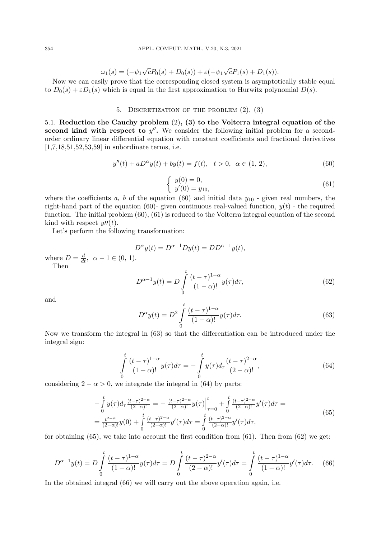$$
\omega_1(s) = (-\psi_1 \sqrt{c} P_0(s) + D_0(s)) + \varepsilon (-\psi_1 \sqrt{c} P_1(s) + D_1(s)).
$$

Now we can easily prove that the corresponding closed system is asymptotically stable equal to  $D_0(s) + \varepsilon D_1(s)$  which is equal in the first approximation to Hurwitz polynomial  $D(s)$ .

### 5. DISCRETIZATION OF THE PROBLEM  $(2)$ ,  $(3)$

5.1. **Reduction the Cauchy problem** (2)**, (3) to the Volterra integral equation of the second kind with respect to**  $y''$ **.** We consider the following initial problem for a secondorder ordinary linear differential equation with constant coefficients and fractional derivatives [1,7,18,51,52,53,59] in subordinate terms, i.e.

$$
y''(t) + aD^{\alpha}y(t) + by(t) = f(t), \quad t > 0, \quad \alpha \in (1, 2), \tag{60}
$$

$$
\begin{cases}\ny(0) = 0, \\
y'(0) = y_{10},\n\end{cases} (61)
$$

where the coefficients  $a, b$  of the equation (60) and initial data  $y_{10}$  - given real numbers, the right-hand part of the equation (60)- given continuous real-valued function,  $y(t)$  - the required function. The initial problem (60), (61) is reduced to the Volterra integral equation of the second kind with respect  $y''(t)$ .

Let's perform the following transformation:

$$
D^{\alpha}y(t) = D^{\alpha - 1}Dy(t) = DD^{\alpha - 1}y(t),
$$

where  $D = \frac{d}{dt}$ ,  $\alpha - 1 \in (0, 1)$ *.* Then

$$
D^{\alpha - 1}y(t) = D \int_{0}^{t} \frac{(t - \tau)^{1 - \alpha}}{(1 - \alpha)!} y(\tau) d\tau,
$$
\n(62)

and

$$
D^{\alpha}y(t) = D^2 \int\limits_0^t \frac{(t-\tau)^{1-\alpha}}{(1-\alpha)!} y(\tau) d\tau.
$$
 (63)

Now we transform the integral in (63) so that the differentiation can be introduced under the integral sign:

$$
\int_{0}^{t} \frac{(t-\tau)^{1-\alpha}}{(1-\alpha)!} y(\tau) d\tau = -\int_{0}^{t} y(\tau) d\tau \frac{(t-\tau)^{2-\alpha}}{(2-\alpha)!},
$$
\n(64)

considering  $2 - \alpha > 0$ , we integrate the integral in (64) by parts:

$$
-\int_{0}^{t} y(\tau)d_{\tau} \frac{(t-\tau)^{2-\alpha}}{(2-\alpha)!} = -\frac{(t-\tau)^{2-\alpha}}{(2-\alpha)!} y(\tau) \Big|_{\tau=0}^{t} + \int_{0}^{t} \frac{(t-\tau)^{2-\alpha}}{(2-\alpha)!} y'(\tau)d\tau =
$$
\n
$$
=\frac{t^{2-\alpha}}{(2-\alpha)!} y(0) + \int_{0}^{t} \frac{(t-\tau)^{2-\alpha}}{(2-\alpha)!} y'(\tau)d\tau = \int_{0}^{t} \frac{(t-\tau)^{2-\alpha}}{(2-\alpha)!} y'(\tau)d\tau,
$$
\n(65)

for obtaining  $(65)$ , we take into account the first condition from  $(61)$ . Then from  $(62)$  we get:

$$
D^{\alpha-1}y(t) = D \int_{0}^{t} \frac{(t-\tau)^{1-\alpha}}{(1-\alpha)!} y(\tau) d\tau = D \int_{0}^{t} \frac{(t-\tau)^{2-\alpha}}{(2-\alpha)!} y'(\tau) d\tau = \int_{0}^{t} \frac{(t-\tau)^{1-\alpha}}{(1-\alpha)!} y'(\tau) d\tau.
$$
 (66)

In the obtained integral (66) we will carry out the above operation again, i.e.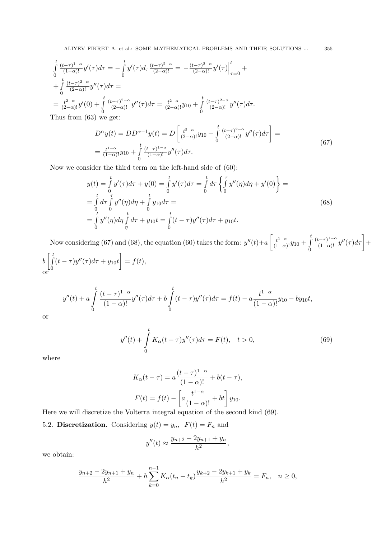$$
\int_{0}^{t} \frac{(t-\tau)^{1-\alpha}}{(1-\alpha)!} y'(\tau) d\tau = -\int_{0}^{t} y'(\tau) d\tau \frac{(t-\tau)^{2-\alpha}}{(2-\alpha)!} = -\frac{(t-\tau)^{2-\alpha}}{(2-\alpha)!} y'(\tau) \Big|_{\tau=0}^{t} + \int_{0}^{t} \frac{(t-\tau)^{2-\alpha}}{(2-\alpha)!} y''(\tau) d\tau =
$$
\n
$$
= \frac{t^{2-\alpha}}{(2-\alpha)!} y'(0) + \int_{0}^{t} \frac{(t-\tau)^{2-\alpha}}{(2-\alpha)!} y''(\tau) d\tau = \frac{t^{2-\alpha}}{(2-\alpha)!} y_{10} + \int_{0}^{t} \frac{(t-\tau)^{2-\alpha}}{(2-\alpha)!} y''(\tau) d\tau.
$$
\nThus from (63) we get:

$$
D^{\alpha}y(t) = DD^{\alpha-1}y(t) = D\left[\frac{t^{2-\alpha}}{(2-\alpha)!}y_{10} + \int_{0}^{t} \frac{(t-\tau)^{2-\alpha}}{(2-\alpha)!}y''(\tau)d\tau\right] =
$$
  
= 
$$
\frac{t^{1-\alpha}}{(1-\alpha)!}y_{10} + \int_{0}^{t} \frac{(t-\tau)^{1-\alpha}}{(1-\alpha)!}y''(\tau)d\tau.
$$
 (67)

Now we consider the third term on the left-hand side of (60):

$$
y(t) = \int_{0}^{t} y'(\tau) d\tau + y(0) = \int_{0}^{t} y'(\tau) d\tau = \int_{0}^{t} d\tau \left\{ \int_{0}^{\tau} y''(\eta) d\eta + y'(0) \right\} =
$$
  
\n
$$
= \int_{0}^{t} d\tau \int_{0}^{\tau} y''(\eta) d\eta + \int_{0}^{t} y_{10} d\tau =
$$
  
\n
$$
= \int_{0}^{t} y''(\eta) d\eta \int_{\eta}^{t} d\tau + y_{10} t = \int_{0}^{t} (t - \tau) y''(\tau) d\tau + y_{10} t.
$$
\n(68)

Now considering (67) and (68), the equation (60) takes the form:  $y''(t)+a\left[\frac{t^{1-\alpha}}{(1-\alpha)!}y_{10}+\right]$ *t* 0  $\frac{(t-\tau)^{1-\alpha}}{(1-\alpha)!}y''(\tau)d\tau$  +  $b \mid \int$ *t*  $\boldsymbol{0}$  $(t - \tau)y''(\tau)d\tau + y_{10}t$   $= f(t)$ or

$$
y''(t) + a \int_{0}^{t} \frac{(t-\tau)^{1-\alpha}}{(1-\alpha)!} y''(\tau) d\tau + b \int_{0}^{t} (t-\tau) y''(\tau) d\tau = f(t) - a \frac{t^{1-\alpha}}{(1-\alpha)!} y_{10} - by_{10}t,
$$

or

$$
y''(t) + \int_{0}^{t} K_{\alpha}(t - \tau)y''(\tau)d\tau = F(t), \quad t > 0,
$$
\n(69)

where

$$
K_{\alpha}(t-\tau) = a \frac{(t-\tau)^{1-\alpha}}{(1-\alpha)!} + b(t-\tau),
$$
  

$$
F(t) = f(t) - \left[ a \frac{t^{1-\alpha}}{(1-\alpha)!} + bt \right] y_{10}.
$$

Here we will discretize the Volterra integral equation of the second kind (69). 5.2. **Discretization.** Considering  $y(t) = y_n$ ,  $F(t) = F_n$  and

$$
y''(t) \approx \frac{y_{n+2} - 2y_{n+1} + y_n}{h^2},
$$

we obtain:

$$
\frac{y_{n+2} - 2y_{n+1} + y_n}{h^2} + h \sum_{k=0}^{n-1} K_{\alpha}(t_n - t_k) \frac{y_{k+2} - 2y_{k+1} + y_k}{h^2} = F_n, \quad n \ge 0,
$$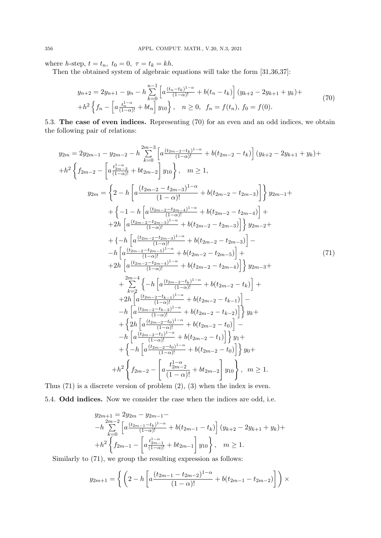where *h*-step,  $t = t_n$ ,  $t_0 = 0$ ,  $\tau = t_k = kh$ .

Then the obtained system of algebraic equations will take the form [31,36,37]:

$$
y_{n+2} = 2y_{n+1} - y_n - h \sum_{k=0}^{n-1} \left[ a \frac{(t_n - t_k)^{1-\alpha}}{(1-\alpha)!} + b(t_n - t_k) \right] (y_{k+2} - 2y_{k+1} + y_k) +
$$
  
+
$$
h^2 \left\{ f_n - \left[ a \frac{t_n^{1-\alpha}}{(1-\alpha)!} + bt_n \right] y_{10} \right\}, \quad n \ge 0, \quad f_n = f(t_n), \ f_0 = f(0).
$$
 (70)

5.3. **The case of even indices.** Representing (70) for an even and an odd indices, we obtain the following pair of relations:

$$
y_{2m} = 2y_{2m-1} - y_{2m-2} - h \sum_{k=0}^{2m-3} \left[ a \frac{(t_{2m-2}-t_k)^{1-\alpha}}{(1-\alpha)!} + b(t_{2m-2}-t_k) \right] (y_{k+2} - 2y_{k+1} + y_k) ++ h^2 \left\{ f_{2m-2} - \left[ a \frac{t_{2m-2}^{1-\alpha}}{(1-\alpha)!} + bt_{2m-2} \right] y_{10} \right\}, m \ge 1,
$$
y_{2m} = \left\{ 2 - h \left[ a \frac{(t_{2m-2}-t_{2m-3})^{1-\alpha}}{(1-\alpha)!} + b(t_{2m-2}-t_{2m-3}) \right] \right\} y_{2m-1} ++ \left\{ -1 - h \left[ a \frac{(t_{2m-2}-t_{2m-3})^{1-\alpha}}{(1-\alpha)!} + b(t_{2m-2}-t_{2m-4}) \right] ++ 2h \left[ a \frac{(t_{2m-2}-t_{2m-3})^{1-\alpha}}{(1-\alpha)!} + b(t_{2m-2}-t_{2m-3}) \right] \right\} y_{2m-2} ++ \left\{ -h \left[ a \frac{(t_{2m-2}-t_{2m-3})^{1-\alpha}}{(1-\alpha)!} + b(t_{2m-2}-t_{2m-3}) \right] -- h \left[ a \frac{(t_{2m-2}-t_{2m-5})^{1-\alpha}}{(1-\alpha)!} + b(t_{2m-2}-t_{2m-5}) \right] ++ 2h \left[ a \frac{(t_{2m-2}-t_{2m-4})^{1-\alpha}}{(1-\alpha)!} + b(t_{2m-2}-t_{2m-4}) \right] \right\} y_{2m-3} ++ \sum_{k=2}^{2m-4} \left\{ -h \left[ a \frac{(t_{2m-2}-t_k)^{1-\alpha}}{(1-\alpha)!} + b(t_{2m-2}-t_{k-1}) \right] --h \left[ a \frac{(t_{2m-2}-t_{k-2})^{1-\alpha}}{(1-\alpha)!} + b(t_{2m-2}-t_{k-2}) \right] \right\} y_k ++ \left\{ 2h \left[ a \frac{(t_{2m-2}-t_{k-1})^{1-\alpha}}{(1-\alpha)!} + b(t_{2m-2}-t_{0}) \
$$
$$

Thus  $(71)$  is a discrete version of problem  $(2)$ ,  $(3)$  when the index is even. 5.4. **Odd indices.** Now we consider the case when the indices are odd, i.e.

$$
y_{2m+1} = 2y_{2m} - y_{2m-1} -
$$
  
\n
$$
-h \sum_{k=0}^{2m-2} \left[ a \frac{(t_{2m-1} - t_k)^{1-\alpha}}{(1-\alpha)!} + b(t_{2m-1} - t_k) \right] (y_{k+2} - 2y_{k+1} + y_k) +
$$
  
\n
$$
+h^2 \left\{ f_{2m-1} - \left[ a \frac{t_{2m-1}^{1-\alpha}}{(1-\alpha)!} + bt_{2m-1} \right] y_{10} \right\}, \quad m \ge 1.
$$

Similarly to (71), we group the resulting expression as follows:

$$
y_{2m+1} = \left\{ \left( 2 - h \left[ a \frac{(t_{2m-1} - t_{2m-2})^{1-\alpha}}{(1-\alpha)!} + b(t_{2m-1} - t_{2m-2}) \right] \right) \right\} \times
$$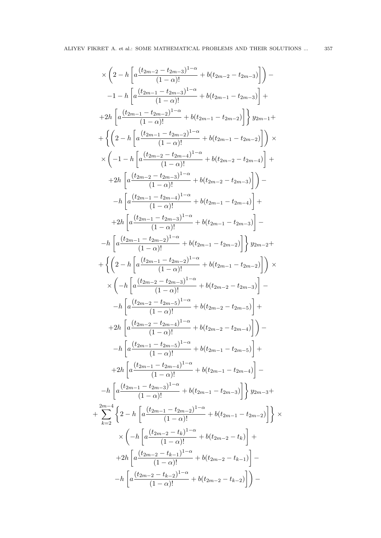$$
\times \left(2 - h \left[a\frac{(t_{2m-2} - t_{2m-3})^{1-\alpha}}{(1-\alpha)!} + b(t_{2m-2} - t_{2m-3})\right]\right) -
$$
\n
$$
-1 - h \left[a\frac{(t_{2m-1} - t_{2m-3})^{1-\alpha}}{(1-\alpha)!} + b(t_{2m-1} - t_{2m-3})\right] +
$$
\n
$$
+2h \left[a\frac{(t_{2m-1} - t_{2m-2})^{1-\alpha}}{(1-\alpha)!} + b(t_{2m-1} - t_{2m-2})\right] \text{ } y_{2m-1} +
$$
\n
$$
+ \left\{\left(2 - h \left[a\frac{(t_{2m-1} - t_{2m-2})^{1-\alpha}}{(1-\alpha)!} + b(t_{2m-1} - t_{2m-2})\right]\right) \times
$$
\n
$$
\times \left(-1 - h \left[a\frac{(t_{2m-2} - t_{2m-4})^{1-\alpha}}{(1-\alpha)!} + b(t_{2m-2} - t_{2m-4})\right] +
$$
\n
$$
+2h \left[a\frac{(t_{2m-2} - t_{2m-3})^{1-\alpha}}{(1-\alpha)!} + b(t_{2m-2} - t_{2m-3})\right]\right) -
$$
\n
$$
-h \left[a\frac{(t_{2m-1} - t_{2m-3})^{1-\alpha}}{(1-\alpha)!} + b(t_{2m-1} - t_{2m-3})\right] -
$$
\n
$$
+2h \left[a\frac{(t_{2m-1} - t_{2m-3})^{1-\alpha}}{(1-\alpha)!} + b(t_{2m-1} - t_{2m-3})\right] -
$$
\n
$$
-h \left[a\frac{(t_{2m-1} - t_{2m-3})^{1-\alpha}}{(1-\alpha)!} + b(t_{2m-1} - t_{2m-2})\right] \text{ } y_{2m-2} +
$$
\n
$$
+ \left\{\left(2 - h \left[a\frac{(t_{2m-2} - t_{2m-3})^{1-\alpha}}{(1-\alpha)!} + b(t_{2m-2} - t_{2m-3})\right] -
$$
\n
$$
-h \left[a\frac{(t_{2m-2} - t_{2m-3})^{1-\alpha}}{(1-\alpha)!} + b(t_{2m-2} - t_{2m-
$$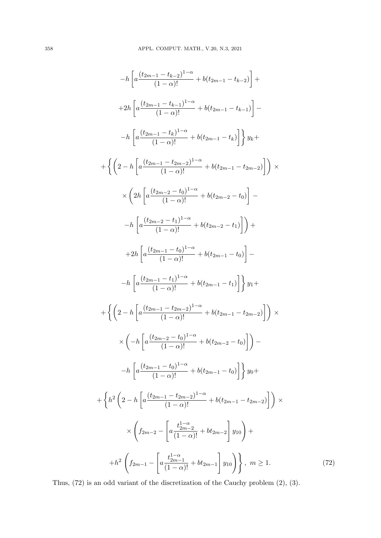$$
-h\left[a\frac{(t_{2m-1}-t_{k-2})^{1-\alpha}}{(1-\alpha)!}+b(t_{2m-1}-t_{k-2})\right]+\n+2h\left[a\frac{(t_{2m-1}-t_{k-1})^{1-\alpha}}{(1-\alpha)!}+b(t_{2m-1}-t_{k-1})\right]-\n-h\left[a\frac{(t_{2m-1}-t_{k})^{1-\alpha}}{(1-\alpha)!}+b(t_{2m-1}-t_{k})\right]\right\}y_{k}+\n+ \left\{\left(2-h\left[a\frac{(t_{2m-1}-t_{2m-2})^{1-\alpha}}{(1-\alpha)!}+b(t_{2m-1}-t_{2m-2})\right]\right)\times\n\times\left(2h\left[a\frac{(t_{2m-2}-t_{0})^{1-\alpha}}{(1-\alpha)!}+b(t_{2m-2}-t_{0})\right]-\n-h\left[a\frac{(t_{2m-2}-t_{1})^{1-\alpha}}{(1-\alpha)!}+b(t_{2m-2}-t_{1})\right]\right)+\n+2h\left[a\frac{(t_{2m-1}-t_{0})^{1-\alpha}}{(1-\alpha)!}+b(t_{2m-1}-t_{0})\right]-\n-h\left[a\frac{(t_{2m-1}-t_{0})^{1-\alpha}}{(1-\alpha)!}+b(t_{2m-1}-t_{1})\right]\right\}y_{1}+\n+ \left\{\left(2-h\left[a\frac{(t_{2m-1}-t_{2m-2})^{1-\alpha}}{(1-\alpha)!}+b(t_{2m-1}-t_{2m-2})\right]\right)\times\n\times\left(-h\left[a\frac{(t_{2m-1}-t_{0})^{1-\alpha}}{(1-\alpha)!}+b(t_{2m-2}-t_{0})\right]\right)-\n-h\left[a\frac{(t_{2m-1}-t_{0})^{1-\alpha}}{(1-\alpha)!}+b(t_{2m-1}-t_{0})\right]\right\}y_{0}+\n+ \left\{h^{2}\left(2-h\left[a\frac{(t_{2m-1}-t_{2m-2})^{1-\alpha}}{(1-\alpha)!}+b(t_{2m-1}-t_{2m-2})\right]\right)\times\n\times\left(f_{2m-2}-\left[a\frac{t_{2m-2}^{1-\alpha}}{(1-\alpha)!}+b(t_{2m-1}-t_{2m-2})\right]\right)\right.\times\n+ h^{2}\left\{f_{2m-1}-\left[a\frac{t_{2m-1}^{1-\alpha}}{(1
$$

Thus, (72) is an odd variant of the discretization of the Cauchy problem (2), (3).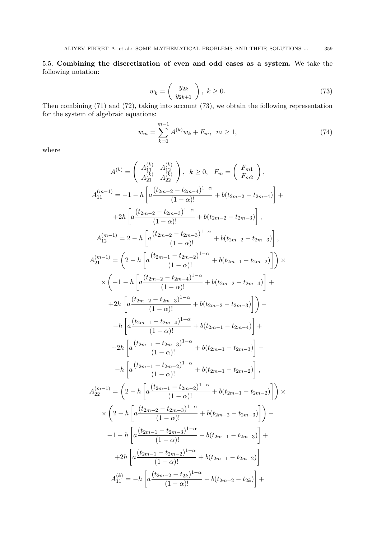5.5. **Combining the discretization of even and odd cases as a system.** We take the following notation:

$$
w_k = \left(\begin{array}{c} y_{2k} \\ y_{2k+1} \end{array}\right), \ k \ge 0. \tag{73}
$$

Then combining (71) and (72), taking into account (73), we obtain the following representation for the system of algebraic equations:

$$
w_m = \sum_{k=0}^{m-1} A^{(k)} w_k + F_m, \ m \ge 1,
$$
\n(74)

where

$$
A^{(k)} = \begin{pmatrix} A_{11}^{(k)} & A_{12}^{(k)} \\ A_{21}^{(k)} & A_{22}^{(k)} \end{pmatrix}, k \ge 0, F_m = \begin{pmatrix} F_{m1} \\ F_{m2} \end{pmatrix},
$$
  
\n
$$
A_{11}^{(m-1)} = -1 - h \left[ a \frac{(t_{2m-2} - t_{2m-4})^{1-\alpha}}{(1-\alpha)!} + b(t_{2m-2} - t_{2m-4}) \right] +
$$
  
\n
$$
+2h \left[ a \frac{(t_{2m-2} - t_{2m-3})^{1-\alpha}}{(1-\alpha)!} + b(t_{2m-2} - t_{2m-3}) \right],
$$
  
\n
$$
A_{12}^{(m-1)} = 2 - h \left[ a \frac{(t_{2m-2} - t_{2m-3})^{1-\alpha}}{(1-\alpha)!} + b(t_{2m-2} - t_{2m-3}) \right],
$$
  
\n
$$
A_{21}^{(m-1)} = \left( 2 - h \left[ a \frac{(t_{2m-1} - t_{2m-2})^{1-\alpha}}{(1-\alpha)!} + b(t_{2m-1} - t_{2m-2}) \right] \right) \times
$$
  
\n
$$
\times \left( -1 - h \left[ a \frac{(t_{2m-2} - t_{2m-4})^{1-\alpha}}{(1-\alpha)!} + b(t_{2m-2} - t_{2m-4}) \right] +
$$
  
\n
$$
+2h \left[ a \frac{(t_{2m-2} - t_{2m-3})^{1-\alpha}}{(1-\alpha)!} + b(t_{2m-2} - t_{2m-3}) \right] -
$$
  
\n
$$
-h \left[ a \frac{(t_{2m-1} - t_{2m-3})^{1-\alpha}}{(1-\alpha)!} + b(t_{2m-1} - t_{2m-3}) \right] -
$$
  
\n
$$
-h \left[ a \frac{(t_{2m-1} - t_{2m-2})^{1-\alpha}}{(1-\alpha)!} + b(t_{2m-1} - t_{2m-2}) \right],
$$
  
\n
$$
A_{22}^{(m-1)} = \left( 2 - h \left[ a \frac{(t_{2m-1} - t_{2m-2})^{1-\alpha}}{(1-\alpha)!} + b(t_{2m-1
$$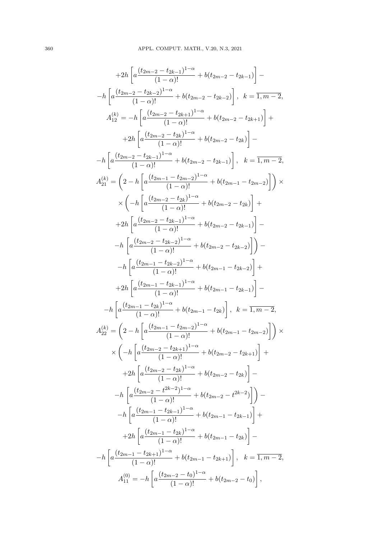$$
+2h\left[a\frac{(t_{2m-2}-t_{2k-1})^{1-\alpha}}{(1-\alpha)!}+b(t_{2m-2}-t_{2k-1})\right]-\n-h\left[a\frac{(t_{2m-2}-t_{2k-2})^{1-\alpha}}{(1-\alpha)!}+b(t_{2m-2}-t_{2k-2})\right], k=\overline{1,m-2},
$$
\n
$$
A_{12}^{(k)} = -h\left[a\frac{(t_{2m-2}-t_{2k+1})^{1-\alpha}}{(1-\alpha)!}+b(t_{2m-2}-t_{2k})\right]-\n-h\left[a\frac{(t_{2m-2}-t_{2k-1})^{-1-\alpha}}{(1-\alpha)!}+b(t_{2m-2}-t_{2k-1})\right], k=\overline{1,m-2},
$$
\n
$$
A_{21}^{(k)} = \left(2-h\left[a\frac{(t_{2m-2}-t_{2k-1})^{-1-\alpha}}{(1-\alpha)!}+b(t_{2m-2}-t_{2k-1})\right], k=\overline{1,m-2},
$$
\n
$$
A_{21}^{(k)} = \left(2-h\left[a\frac{(t_{2m-2}-t_{2k})^{-1-\alpha}}{(1-\alpha)!}+b(t_{2m-2}-t_{2k-1})\right]\right)+\n+2h\left[a\frac{(t_{2m-2}-t_{2k-1})^{-1-\alpha}}{(1-\alpha)!}+b(t_{2m-2}-t_{2k-1})\right]-\n-h\left[a\frac{(t_{2m-2}-t_{2k-2})^{-1-\alpha}}{(1-\alpha)!}+b(t_{2m-2}-t_{2k-2})\right]\right)-\n-h\left[a\frac{(t_{2m-1}-t_{2k-2})^{-1-\alpha}}{(1-\alpha)!}+b(t_{2m-1}-t_{2k-2})\right]+\n+2h\left[a\frac{(t_{2m-1}-t_{2k-2})^{-1-\alpha}}{(1-\alpha)!}+b(t_{2m-1}-t_{2k-1})\right]-\n-h\left[a\frac{(t_{2m-1}-t_{2k-1})^{-1-\alpha}}{(1-\alpha)!}+b(t_{2m-1}-t_{2k-1})\right]-\n-h\left[a\frac{(t_{2m-1}-t_{2k-1})^{-1-\alpha}}{(1-\alpha)!}+b(t_{2m-1}-t_{2k-1})\right]+\n+2h\left[a\frac{(t_{2m-2}-t_{2k+1})^{-
$$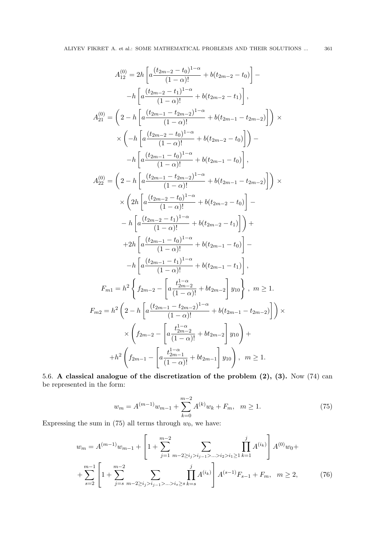$$
A_{12}^{(0)} = 2h \left[ a \frac{(t_{2m-2} - t_0)^{1-\alpha}}{(1-\alpha)!} + b(t_{2m-2} - t_0) \right] -
$$
  
\n
$$
-h \left[ a \frac{(t_{2m-2} - t_1)^{1-\alpha}}{(1-\alpha)!} + b(t_{2m-2} - t_1) \right],
$$
  
\n
$$
A_{21}^{(0)} = \left( 2 - h \left[ a \frac{(t_{2m-1} - t_{2m-2})^{1-\alpha}}{(1-\alpha)!} + b(t_{2m-1} - t_{2m-2}) \right] \right) \times
$$
  
\n
$$
\times \left( -h \left[ a \frac{(t_{2m-2} - t_0)^{1-\alpha}}{(1-\alpha)!} + b(t_{2m-2} - t_0) \right] \right) -
$$
  
\n
$$
-h \left[ a \frac{(t_{2m-1} - t_0)^{1-\alpha}}{(1-\alpha)!} + b(t_{2m-1} - t_0) \right],
$$
  
\n
$$
A_{22}^{(0)} = \left( 2 - h \left[ a \frac{(t_{2m-1} - t_{2m-2})^{1-\alpha}}{(1-\alpha)!} + b(t_{2m-1} - t_{2m-2}) \right] \right) \times
$$
  
\n
$$
\times \left( 2h \left[ a \frac{(t_{2m-2} - t_0)^{1-\alpha}}{(1-\alpha)!} + b(t_{2m-2} - t_0) \right] -
$$
  
\n
$$
-h \left[ a \frac{(t_{2m-2} - t_1)^{1-\alpha}}{(1-\alpha)!} + b(t_{2m-2} - t_1) \right] \right) +
$$
  
\n
$$
+2h \left[ a \frac{(t_{2m-1} - t_0)^{1-\alpha}}{(1-\alpha)!} + b(t_{2m-1} - t_0) \right] -
$$
  
\n
$$
-h \left[ a \frac{(t_{2m-1} - t_1)^{1-\alpha}}{(1-\alpha)!} + b(t_{2m-1} - t_1) \right],
$$
  
\n
$$
F_{m1} = h^2 \left\{ f_{2m-2} - \left[ a \frac{t_{2m-2}^{1-\alpha}}{(1-\alpha)!} + b(t_{2m-1} - t_{2m-2}) \right
$$

5.6. **A classical analogue of the discretization of the problem (2), (3).** Now (74) can be represented in the form:

$$
w_m = A^{(m-1)}w_{m-1} + \sum_{k=0}^{m-2} A^{(k)}w_k + F_m, \quad m \ge 1.
$$
 (75)

Expressing the sum in  $(75)$  all terms through  $w_0$ , we have:

$$
w_m = A^{(m-1)}w_{m-1} + \left[1 + \sum_{j=1}^{m-2} \sum_{m-2 \ge i_j > i_{j-1} > \ldots > i_2 > i_1 \ge 1} \prod_{k=1}^j A^{(i_k)}\right] A^{(0)}w_0 +
$$
  
+ 
$$
\sum_{s=2}^{m-1} \left[1 + \sum_{j=s}^{m-2} \sum_{m-2 \ge i_j > i_{j-1} > \ldots > i_s \ge s} \prod_{k=s}^j A^{(i_k)}\right] A^{(s-1)}F_{s-1} + F_m, \quad m \ge 2,
$$
 (76)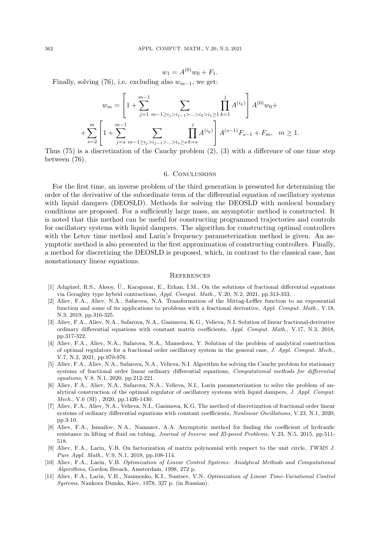$$
w_1 = A^{(0)}w_0 + F_1.
$$

Finally, solving (76), i.e. excluding also  $w_{m-1}$ , we get:

$$
w_m = \left[1 + \sum_{j=1}^{m-1} \sum_{m-1 \ge i_j > i_{j-1} > \ldots > i_2 > i_1 \ge 1} \prod_{k=1}^j A^{(i_k)}\right] A^{(0)}w_0 +
$$
  
+ 
$$
\sum_{s=2}^m \left[1 + \sum_{j=s}^{m-1} \sum_{m-1 \ge i_j > i_{j-1} > \ldots > i_s \ge s} \prod_{k=s}^j A^{(i_k)}\right] A^{(s-1)}F_{s-1} + F_m, \quad m \ge 1.
$$

Thus (75) is a discretization of the Cauchy problem (2), (3) with a difference of one time step between (76).

### 6. Conclusions

For the first time, an inverse problem of the third generation is presented for determining the order of the derivative of the subordinate term of the differential equation of oscillatory systems with liquid dampers (DEOSLD). Methods for solving the DEOSLD with nonlocal boundary conditions are proposed. For a sufficiently large mass, an asymptotic method is constructed. It is noted that this method can be useful for constructing programmed trajectories and controls for oscillatory systems with liquid dampers. The algorithm for constructing optimal controllers with the Letov time method and Larin's frequency parameterization method is given. An asymptotic method is also presented in the first approximation of constructing controllers. Finally, a method for discretizing the DEOSLD is proposed, which, in contrast to the classical case, has nonstationary linear equations.

#### **REFERENCES**

- [1] Adıgüzel, R.S., Aksoy, Ü., Karapınar, E., Erhan, İ.M., On the solutions of fractional differential equations via Geraghty type hybrid contractions, *Appl. Comput. Math.,* V.20, N.2, 2021, pp.313-333.
- [2] Aliev, F.A., Aliev, N.A., Safarova, N.A. Transformation of the Mittag-Leffler function to an exponential function and some of its applications to problems with a fractional derivative, *Appl. Comput. Math.,* V.18, N.3, 2019, pp.316-325.
- [3] Aliev, F.A., Aliev, N.A., Safarova, N.A., Gasimova, K.G., Velieva, N.I. Solution of linear fractional-derivative ordinary differential equations with constant matrix coefficients, *Appl. Comput. Math.,* V.17, N.3, 2018, pp.317-322.
- [4] Aliev, F.A., Aliev, N.A., Safarova, N.A., Mamedova, Y. Solution of the problem of analytical construction of optimal regulators for a fractional order oscillatory system in the general case, *J. Appl. Comput. Mech.,* V.7, N.2, 2021, pp.970-976.
- [5] Aliev, F.A., Aliev, N.A., Safarova, N.A., Velieva, N.I. Algorithm for solving the Cauchy problem for stationary systems of fractional order linear ordinary differential equations, *Computational methods for differential equations*, V.8, N.1, 2020, pp.212-221.
- [6] Aliev, F.A., Aliev, N.A., Safarova, N.A., Velieva, N.I., Larin parameterization to solve the problem of analytical construction of the optimal regulator of oscillatory systems with liquid dampers, *J. Appl. Comput. Mech.*, V.6 (SI) , 2020, pp.1426-1430.
- [7] Aliev, F.A., Aliev, N.A., Velieva, N.I., Gasimova, K.G. The method of discretization of fractional order linear systems of ordinary differential equations with constant coefficients, *Nonlinear Oscillations*, V.23, N.1, 2020, pp.3-10.
- [8] Aliev, F.A., Ismailov, N.A., Namazov, A.A. Asymptotic method for finding the coefficient of hydraulic resistance in lifting of fluid on tubing, *Journal of Inverse and Ill-posed Problems,* V.23, N.5, 2015, pp.511- 518.
- [9] Aliev, F.A., Larin, V.B. On factorization of matrix polynomial with respect to the unit circle, *TWMS J. Pure Appl. Math*., V.9, N.1, 2018, pp.108-114.
- [10] Aliev, F.A., Larin, V.B. *Optimization of Linear Control Systems: Analytical Methods and Computational Algorithms*, Gordon Breach, Amsterdam, 1998, 272 p.
- [11] Aliev, F.A., Larin, V.B., Naumenko, K.I., Suntsev, V.N. *Optimization of Linear Time-Variational Control Systems*, Naukova Dumka, Kiev, 1978, 327 p. (in Russian).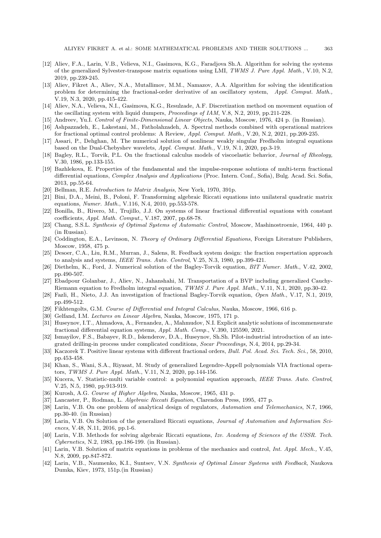- [12] Aliev, F.A., Larin, V.B., Velieva, N.I., Gasimova, K.G., Faradjova Sh.A. Algorithm for solving the systems of the generalized Sylvester-transpose matrix equations using LMI, *TWMS J. Pure Appl. Math.,* V.10, N.2, 2019, pp.239-245.
- [13] Aliev, Fikret A., Aliev, N.A., Mutallimov, M.M., Namazov, A.A. Algorithm for solving the identification problem for determining the fractional-order derivative of an oscillatory system, *Appl. Comput. Math.,* V.19, N.3, 2020, pp.415-422.
- [14] Aliev, N.A., Velieva, N.I., Gasimova, K.G., Resulzade, A.F. Discretization method on movement equation of the oscillating system with liquid dumpers, *Proceedings of IAM*, V.8, N.2, 2019, pp.211-228.
- [15] Andreev, Yu.I. *Control of Finite-Dimensional Linear Objects*, Nauka, Moscow, 1976, 424 p. (in Russian).
- [16] Ashpazzadeh, E., Lakestani, M., Fatholahzadeh, A. Spectral methods combined with operational matrices for fractional optimal control problems: A Review, *Appl. Comput. Math.,* V.20, N.2, 2021, pp.209-235.
- [17] Assari, P., Dehghan, M. The numerical solution of nonlinear weakly singular Fredholm integral equations based on the Dual-Chebyshev wavelets, *Appl. Comput. Math.,* V.19, N.1, 2020, pp.3-19.
- [18] Bagley, R.L., Torvik, P.L. On the fractional calculus models of viscoelastic behavior, *Journal of Rheology,* V.30, 1986, pp.133-155.
- [19] Bazhlekova, E. Properties of the fundamental and the impulse-response solutions of multi-term fractional differential equations, *Complex Analysis and Applications* (Proc. Intern. Conf., Sofia), Bulg. Acad. Sci. Sofia, 2013, pp.55-64.
- [20] Bellman, R.E. *Introduction to Matrix Analysis*, New York, 1970, 391p.
- [21] Bini, D.A., Meini, B., Poloni, F. Transforming algebraic Riccati equations into unilateral quadratic matrix equations, *Numer. Math.*, V.116, N.4, 2010, pp.553-578.
- [22] Bonilla, B., Rivero, M., Trujillo, J.J. On systems of linear fractional differential equations with constant coefficients, *Appl. Math. Comput.,* V.187, 2007, pp.68-78.
- [23] Chang, S.S.L. *Synthesis of Optimal Systems of Automatic Control*, Moscow, Mashinostroenie, 1964, 440 p. (in Russian).
- [24] Coddington, E.A., Levinson, N. *Theory of Ordinary Differential Equations*, Foreign Literature Publishers, Moscow, 1958, 475 p.
- [25] Desoer, C.A., Liu, R.M., Murran, J., Salens, R. Feedback system design: the fraction respertation approach to analysis and systems, *IEEE Trans. Auto. Control*, V.25, N.3, 1980, pp.399-421.
- [26] Diethelm, K., Ford, J. Numerical solution of the Bagley-Torvik equation, *BIT Numer. Math.*, V.42, 2002, pp.490-507.
- [27] Ebadpour Golanbar, J., Aliev, N., Jahanshahi, M. Transportation of a BVP including generalized Cauchy-Riemann equation to Fredholm integral equation, *TWMS J. Pure Appl. Math*., V.11, N.1, 2020, pp.30-42.
- [28] Fazli, H., Nieto, J.J. An investigation of fractional Bagley-Torvik equation, *Open Math.*, V.17, N.1, 2019, pp.499-512.
- [29] Fikhtengolts, G.M. *Course of Differential and Integral Calculus*, Nauka, Moscow, 1966, 616 p.
- [30] Gelfand, I.M. *Lectures on Linear Algebra*, Nauka, Moscow, 1975, 171 p.
- [31] Huseynov, I.T., Ahmadova, A., Fernandez, A., Mahmudov, N.I. Explicit analytic solutions of incommensurate fractional differential equation systems, *Appl. Math. Comp.*, V.390, 125590, 2021.
- [32] Ismayilov, F.S., Babayev, R.D., Iskenderov, D.A., Huseynov, Sh.Sh. Pilot-industrial introduction of an integrated drilling-in process under complicated conditions, *Socar Proceedings,* N.4, 2014, pp.29-34.
- [33] Kaczorek T. Positive linear systems with different fractional orders, *Bull. Pol. Acad. Sci. Tech. Sci.,* 58, 2010, pp.453-458.
- [34] Khan, S., Wani, S.A., Riyasat, M. Study of generalized Legendre-Appell polynomials VIA fractional operators, *TWMS J. Pure Appl. Math.*, V.11, N.2, 2020, pp.144-156.
- [35] Kucera, V. Statistic-multi variable control: a polynomial equation approach, *IEEE Trans. Auto. Control*, V.25, N.5, 1980, pp.913-919.
- [36] Kurosh, A.G. *Course of Higher Algebra*, Nauka, Moscow, 1965, 431 p.
- [37] Lancaster, P., Rodman, L. *Algebraic Riccati Equation*, Clarendon Press, 1995, 477 p.
- [38] Larin, V.B. On one problem of analytical design of regulators, *Automation and Telemechanics*, N.7, 1966, pp.30-40. (in Russian)
- [39] Larin, V.B. On Solution of the generalized Riccati equations, *Journal of Automation and Information Sciences*, V.48, N.11, 2016, pp.1-6.
- [40] Larin, V.B. Methods for solving algebraic Riccati equations, *Izv. Academy of Sciences of the USSR. Tech. Cybernetics*, N.2, 1983, pp.186-199. (in Russian).
- [41] Larin, V.B. Solution of matrix equations in problems of the mechanics and control, *Int. Appl. Mech.,* V.45, N.8, 2009, pp.847-872.
- [42] Larin, V.B., Naumenko, K.I., Suntsev, V.N. *Synthesis of Optimal Linear Systems with Feedback*, Naukova Dumka, Kiev, 1973, 151p.(in Russian)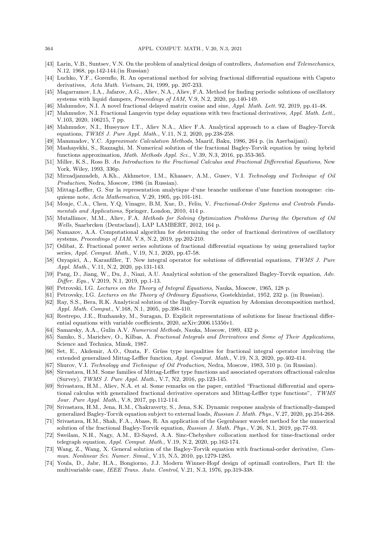- [43] Larin, V.B., Suntsev, V.N. On the problem of analytical design of controllers, *Automation and Telemechanics*, N.12, 1968, pp.142-144.(in Russian)
- [44] Luchko, Y.F., Gorenflo, R. An operational method for solving fractional differential equations with Caputo derivatives, *Acta Math. Vietnam*, 24, 1999, pp. 207-233.
- [45] Magarramov, I.A., Jafarov, A.G., Aliev, N.A., Aliev, F.A. Method for finding periodic solutions of oscillatory systems with liquid dampers, *Proceedings of IAM,* V.9, N.2, 2020, pp.140-149.
- [46] Mahmudov, N.I. A novel fractional delayed matrix cosine and sine, *Appl. Math. Lett*. 92, 2019, pp.41-48.
- [47] Mahmudov, N.I. Fractional Langevin type delay equations with two fractional derivatives, *Appl. Math. Lett*., V.103, 2020, 106215, 7 pp.
- [48] Mahmudov, N.I., Huseynov I.T., Aliev N.A., Aliev F.A. Analytical approach to a class of Bagley-Torvik equations, *TWMS J. Pure Appl. Math.,* V.11, N.2, 2020, pp.238-258.
- [49] Mammadov, Y.C. *Approximate Calculation Methods*, Maarif, Baku, 1986, 264 p. (in Azerbaijani).
- [50] Mashayekhi, S., Razzaghi, M. Numerical solution of the fractional Bagley-Torvik equation by using hybrid functions approximation, *Math. Methods Appl. Sci.,* V.39, N.3, 2016, pp.353-365.
- [51] Miller, K.S., Ross B. *An Introduction to the Fractional Calculus and Fractional Differential Equations*, New York, Wiley, 1993, 336p.
- [52] Mirzadjanzadeh, A.Kh., Akhmetov, I.M., Khasaev, A.M., Gusev, V.I. *Technology and Technique of Oil Production*, Nedra, Moscow, 1986 (in Russian).
- [53] Mittag-Leffler, G. Sur la representation analytique d'une branche uniforme d'une function monogene: cinquieme note, *Acta Mathematica*, V.29, 1905, pp.101-181.
- [54] Monje, C.A., Chen, Y.Q, Vinagre, B.M, Xue, D., Feliu, V. *Fractional-Order Systems and Controls Fundamentals and Applications*, Springer, London, 2010, 414 p.
- [55] Mutallimov, M.M., Aliev, F.A. *Methods for Solving Optimization Problems During the Operation of Oil Wells*, Saarbrcken (Deutscland), LAP LAMBERT, 2012, 164 p.
- [56] Namazov, A.A. Computational algorithm for determining the order of fractional derivatives of oscillatory systems, *Proceedings of IAM,* V.8, N.2, 2019, pp.202-210.
- [57] Odibat, Z. Fractional power series solutions of fractional differential equations by using generalized taylor series, *Appl. Comput. Math.,* V.19, N.1, 2020, pp.47-58.
- [58] Ozyapici, A., Karanfiller, T. New integral operator for solutions of differential equations, *TWMS J. Pure Appl. Math.,* V.11, N.2, 2020, pp.131-143.
- [59] Pang, D., Jiang, W., Du, J., Niazi, A.U. Analytical solution of the generalized Bagley-Torvik equation, *Adv. Differ. Equ.*, V.2019, N.1, 2019, pp.1-13.
- [60] Petrovski, I.G. *Lectures on the Theory of Integral Equations,* Nauka, Moscow, 1965, 128 p.
- [61] Petrovsky, I.G. *Lectures on the Theory of Ordinary Equations*, Gostekhizdat, 1952, 232 p. (in Russian).
- [62] Ray, S.S., Bera, R.K. Analytical solution of the Bagley-Torvik equation by Adomian decomposition method, *Appl. Math. Comput.*, V.168, N.1, 2005, pp.398-410.
- [63] Restrepo, J.E., Ruzhansky, M., Suragan, D. Explicit representations of solutions for linear fractional differential equations with variable coefficients, 2020, arXiv:2006.15356v1.
- [64] Samarsky, A.A., Gulin A.V. *Numerical Methods*, Nauka, Moscow, 1989, 432 p.
- [65] Samko, S., Marichev, O., Kilbas, A. *Fractional Integrals and Derivatives and Some of Their Applications*, Science and Technica, Minsk, 1987.
- [66] Set, E., Akdemir, A.O., Ozata, F. Grüss type inequalities for fractional integral operator involving the extended generalized Mittag-Leffler function, *Appl. Comput. Math.*, V.19, N.3, 2020, pp.402-414.
- [67] Shurov, V.I. *Technology and Technique of Oil Production*, Nedra, Moscow, 1983, 510 p. (in Russian).
- [68] Sirvastava, H.M. Some families of Mittag-Leffler type functions and associated operators offractional calculus (Survey), *TWMS J. Pure Appl. Math.*, V.7, N2, 2016, pp.123-145.
- [69] Srivastava, H.M., Aliev, N.A. et al. Some remarks on the paper, entitled "Fractional differential and operational calculus with generalized fractional derivative operators and Mittag-Leffler type functions", *TWMS Jour. Pure Appl. Math.*, V.8, 2017, pp.112-114.
- [70] Srivastava, H.M., Jena, R.M., Chakraverty, S., Jena, S.K. Dynamic response analysis of fractionally-damped generalized Bagley-Torvik equation subject to external loads, *Russian J. Math. Phys*., V.27, 2020, pp.254-268.
- [71] Srivastava, H.M., Shah, F.A., Abass, R. An application of the Gegenbauer wavelet method for the numerical solution of the fractional Bagley-Torvik equation, *Russian J. Math. Phys*., V.26, N.1, 2019, pp.77-93.
- [72] Sweilam, N.H., Nagy, A.M., El-Sayed, A.A. Sinc-Chebyshev collocation method for time-fractional order telegraph equation, *Appl. Comput. Math*., V.19, N.2, 2020, pp.162-174.
- [73] Wang, Z., Wang, X. General solution of the Bagley-Torvik equation with fractional-order derivative, *Commun. Nonlinear Sci. Numer. Simul.*, V.15, N.5, 2010, pp.1279-1285.
- [74] Youla, D., Jabr, H.A., Bongiorno, J.J. Modern Winner-Hopf design of optimall controllers, Part II: the multivariable case, *IEEE Trans. Auto. Control*, V.21, N.3, 1976, pp.319-338.